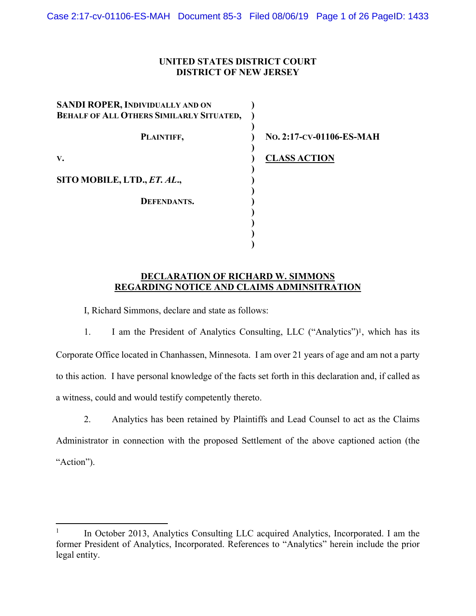#### **UNITED STATES DISTRICT COURT DISTRICT OF NEW JERSEY**

| SANDI ROPER, INDIVIDUALLY AND ON<br><b>BEHALF OF ALL OTHERS SIMILARLY SITUATED,</b> |                          |
|-------------------------------------------------------------------------------------|--------------------------|
| PLAINTIFF,                                                                          | No. 2:17-CV-01106-ES-MAH |
| V.                                                                                  | <b>CLASS ACTION</b>      |
| SITO MOBILE, LTD., ET. AL.,                                                         |                          |
| <b>DEFENDANTS.</b>                                                                  |                          |
|                                                                                     |                          |
|                                                                                     |                          |

#### **DECLARATION OF RICHARD W. SIMMONS REGARDING NOTICE AND CLAIMS ADMINSITRATION**

I, Richard Simmons, declare and state as follows:

1. I am the President of Analytics Consulting, LLC ("Analytics")1, which has its Corporate Office located in Chanhassen, Minnesota. I am over 21 years of age and am not a party to this action. I have personal knowledge of the facts set forth in this declaration and, if called as a witness, could and would testify competently thereto.

2. Analytics has been retained by Plaintiffs and Lead Counsel to act as the Claims Administrator in connection with the proposed Settlement of the above captioned action (the "Action").

<sup>1</sup> In October 2013, Analytics Consulting LLC acquired Analytics, Incorporated. I am the former President of Analytics, Incorporated. References to "Analytics" herein include the prior legal entity.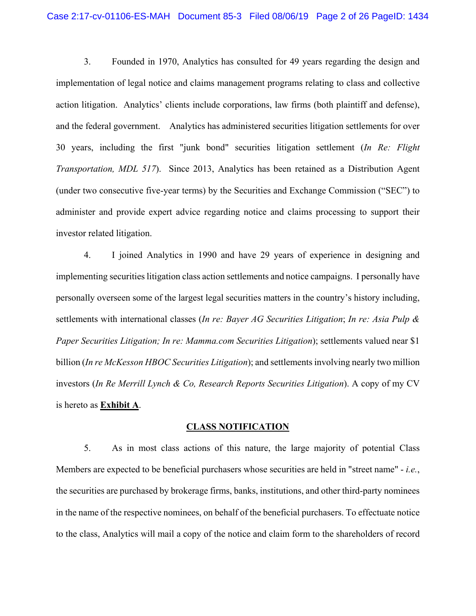3. Founded in 1970, Analytics has consulted for 49 years regarding the design and implementation of legal notice and claims management programs relating to class and collective action litigation. Analytics' clients include corporations, law firms (both plaintiff and defense), and the federal government. Analytics has administered securities litigation settlements for over 30 years, including the first "junk bond" securities litigation settlement (*In Re: Flight Transportation, MDL 517*). Since 2013, Analytics has been retained as a Distribution Agent (under two consecutive five-year terms) by the Securities and Exchange Commission ("SEC") to administer and provide expert advice regarding notice and claims processing to support their investor related litigation.

4. I joined Analytics in 1990 and have 29 years of experience in designing and implementing securities litigation class action settlements and notice campaigns. I personally have personally overseen some of the largest legal securities matters in the country's history including, settlements with international classes (*In re: Bayer AG Securities Litigation*; *In re: Asia Pulp & Paper Securities Litigation; In re: Mamma.com Securities Litigation*); settlements valued near \$1 billion (*In re McKesson HBOC Securities Litigation*); and settlements involving nearly two million investors (*In Re Merrill Lynch & Co, Research Reports Securities Litigation*). A copy of my CV is hereto as **Exhibit A**.

#### **CLASS NOTIFICATION**

5. As in most class actions of this nature, the large majority of potential Class Members are expected to be beneficial purchasers whose securities are held in "street name" - *i.e.*, the securities are purchased by brokerage firms, banks, institutions, and other third-party nominees in the name of the respective nominees, on behalf of the beneficial purchasers. To effectuate notice to the class, Analytics will mail a copy of the notice and claim form to the shareholders of record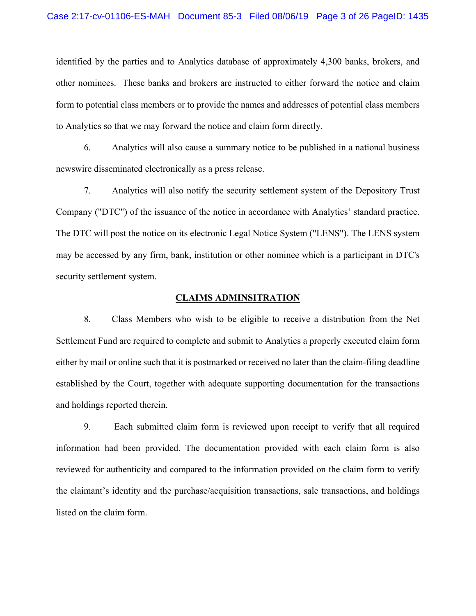identified by the parties and to Analytics database of approximately 4,300 banks, brokers, and other nominees. These banks and brokers are instructed to either forward the notice and claim form to potential class members or to provide the names and addresses of potential class members to Analytics so that we may forward the notice and claim form directly.

6. Analytics will also cause a summary notice to be published in a national business newswire disseminated electronically as a press release.

7. Analytics will also notify the security settlement system of the Depository Trust Company ("DTC") of the issuance of the notice in accordance with Analytics' standard practice. The DTC will post the notice on its electronic Legal Notice System ("LENS"). The LENS system may be accessed by any firm, bank, institution or other nominee which is a participant in DTC's security settlement system.

#### **CLAIMS ADMINSITRATION**

8. Class Members who wish to be eligible to receive a distribution from the Net Settlement Fund are required to complete and submit to Analytics a properly executed claim form either by mail or online such that it is postmarked or received no later than the claim-filing deadline established by the Court, together with adequate supporting documentation for the transactions and holdings reported therein.

9. Each submitted claim form is reviewed upon receipt to verify that all required information had been provided. The documentation provided with each claim form is also reviewed for authenticity and compared to the information provided on the claim form to verify the claimant's identity and the purchase/acquisition transactions, sale transactions, and holdings listed on the claim form.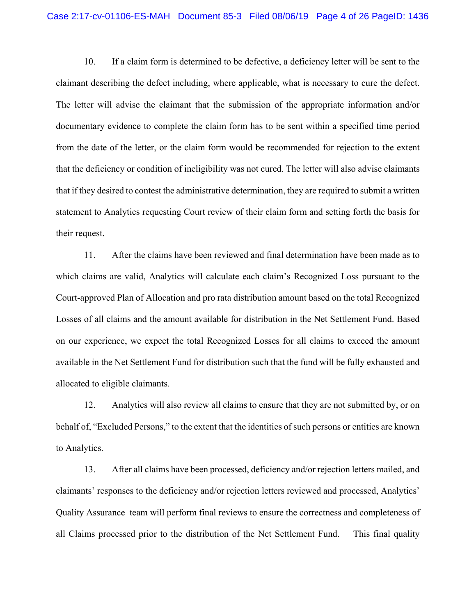10. If a claim form is determined to be defective, a deficiency letter will be sent to the claimant describing the defect including, where applicable, what is necessary to cure the defect. The letter will advise the claimant that the submission of the appropriate information and/or documentary evidence to complete the claim form has to be sent within a specified time period from the date of the letter, or the claim form would be recommended for rejection to the extent that the deficiency or condition of ineligibility was not cured. The letter will also advise claimants that if they desired to contest the administrative determination, they are required to submit a written statement to Analytics requesting Court review of their claim form and setting forth the basis for their request.

11. After the claims have been reviewed and final determination have been made as to which claims are valid, Analytics will calculate each claim's Recognized Loss pursuant to the Court-approved Plan of Allocation and pro rata distribution amount based on the total Recognized Losses of all claims and the amount available for distribution in the Net Settlement Fund. Based on our experience, we expect the total Recognized Losses for all claims to exceed the amount available in the Net Settlement Fund for distribution such that the fund will be fully exhausted and allocated to eligible claimants.

12. Analytics will also review all claims to ensure that they are not submitted by, or on behalf of, "Excluded Persons," to the extent that the identities of such persons or entities are known to Analytics.

13. After all claims have been processed, deficiency and/or rejection letters mailed, and claimants' responses to the deficiency and/or rejection letters reviewed and processed, Analytics' Quality Assurance team will perform final reviews to ensure the correctness and completeness of all Claims processed prior to the distribution of the Net Settlement Fund. This final quality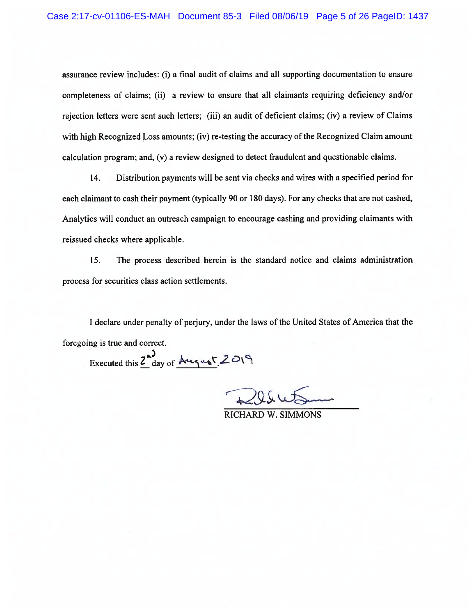assurance review includes: (i) a final audit of claims and all supporting documentation to ensure completeness of claims; (ii) a review to ensure that all claimants requiring deficiency and/or rejection letters were sent such letters; (iii) an audit of deficient claims; (iv) a review of Claims with high Recognized Loss amounts; (iv) re-testing the accuracy of the Recognized Claim amount calculation program; and, (v) a review designed to detect fraudulent and questionable claims.

14. Distribution payments will be sent via checks and wires with a specified period for each claimant to cash their payment (typically 90 or 180 days). For any checks that are not cashed, Analytics will conduct an outreach campaign to encourage cashing and providing claimants with reissued checks where applicable.

15. The process described herein is the standard notice and claims administration process for securities class action settlements.

I declare under penalty of perjury, under the laws of the United States of America that the foregoing is true and correct.

Executed this Z day of August 2019

**RICHARD W. SIMMONS**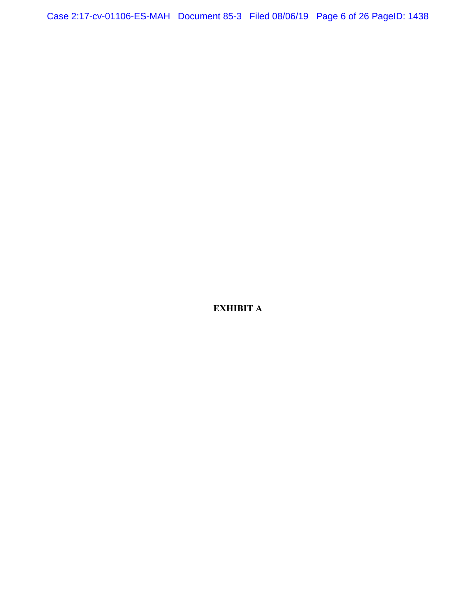Case 2:17-cv-01106-ES-MAH Document 85-3 Filed 08/06/19 Page 6 of 26 PageID: 1438

**EXHIBIT A**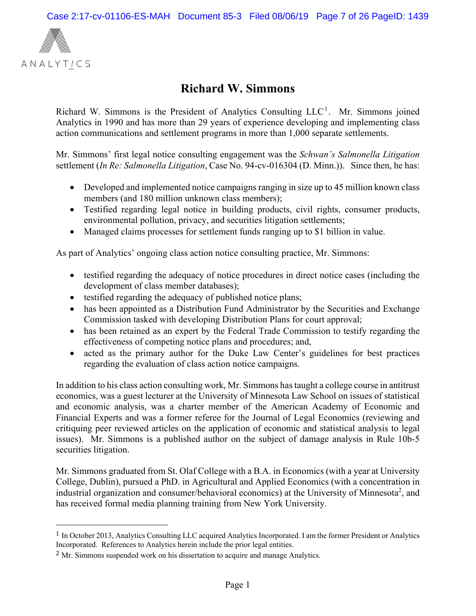

1

# **Richard W. Simmons**

Richard W. Simmons is the President of Analytics Consulting  $LLC<sup>1</sup>$ . Mr. Simmons joined Analytics in 1990 and has more than 29 years of experience developing and implementing class action communications and settlement programs in more than 1,000 separate settlements.

Mr. Simmons' first legal notice consulting engagement was the *Schwan's Salmonella Litigation* settlement (*In Re: Salmonella Litigation*, Case No. 94-cv-016304 (D. Minn.)). Since then, he has:

- Developed and implemented notice campaigns ranging in size up to 45 million known class members (and 180 million unknown class members);
- Testified regarding legal notice in building products, civil rights, consumer products, environmental pollution, privacy, and securities litigation settlements;
- Managed claims processes for settlement funds ranging up to \$1 billion in value.

As part of Analytics' ongoing class action notice consulting practice, Mr. Simmons:

- testified regarding the adequacy of notice procedures in direct notice cases (including the development of class member databases);
- testified regarding the adequacy of published notice plans;
- has been appointed as a Distribution Fund Administrator by the Securities and Exchange Commission tasked with developing Distribution Plans for court approval;
- has been retained as an expert by the Federal Trade Commission to testify regarding the effectiveness of competing notice plans and procedures; and,
- acted as the primary author for the Duke Law Center's guidelines for best practices regarding the evaluation of class action notice campaigns.

In addition to his class action consulting work, Mr. Simmons has taught a college course in antitrust economics, was a guest lecturer at the University of Minnesota Law School on issues of statistical and economic analysis, was a charter member of the American Academy of Economic and Financial Experts and was a former referee for the Journal of Legal Economics (reviewing and critiquing peer reviewed articles on the application of economic and statistical analysis to legal issues). Mr. Simmons is a published author on the subject of damage analysis in Rule 10b-5 securities litigation.

Mr. Simmons graduated from St. Olaf College with a B.A. in Economics (with a year at University College, Dublin), pursued a PhD. in Agricultural and Applied Economics (with a concentration in industrial organization and consumer/behavioral economics) at the University of Minnesota<sup>2</sup>, and has received formal media planning training from New York University.

<sup>1</sup> In October 2013, Analytics Consulting LLC acquired Analytics Incorporated. I am the former President or Analytics Incorporated. References to Analytics herein include the prior legal entities.

<sup>&</sup>lt;sup>2</sup> Mr. Simmons suspended work on his dissertation to acquire and manage Analytics.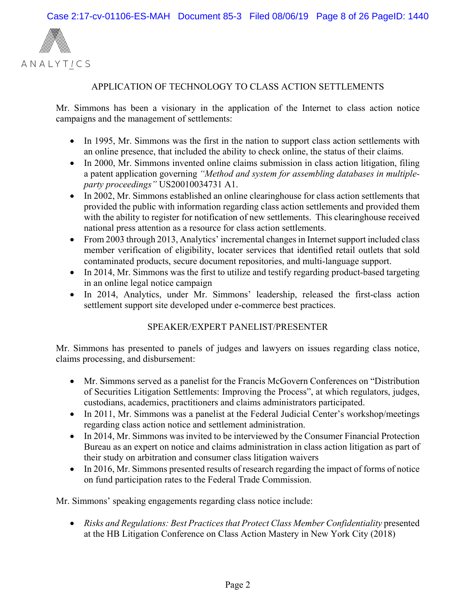

#### APPLICATION OF TECHNOLOGY TO CLASS ACTION SETTLEMENTS

Mr. Simmons has been a visionary in the application of the Internet to class action notice campaigns and the management of settlements:

- In 1995, Mr. Simmons was the first in the nation to support class action settlements with an online presence, that included the ability to check online, the status of their claims.
- In 2000, Mr. Simmons invented online claims submission in class action litigation, filing a patent application governing *"Method and system for assembling databases in multipleparty proceedings"* US20010034731 A1.
- In 2002, Mr. Simmons established an online clearinghouse for class action settlements that provided the public with information regarding class action settlements and provided them with the ability to register for notification of new settlements. This clearinghouse received national press attention as a resource for class action settlements.
- From 2003 through 2013, Analytics' incremental changes in Internet support included class member verification of eligibility, locater services that identified retail outlets that sold contaminated products, secure document repositories, and multi-language support.
- In 2014, Mr. Simmons was the first to utilize and testify regarding product-based targeting in an online legal notice campaign
- In 2014, Analytics, under Mr. Simmons' leadership, released the first-class action settlement support site developed under e-commerce best practices.

#### SPEAKER/EXPERT PANELIST/PRESENTER

Mr. Simmons has presented to panels of judges and lawyers on issues regarding class notice, claims processing, and disbursement:

- Mr. Simmons served as a panelist for the Francis McGovern Conferences on "Distribution of Securities Litigation Settlements: Improving the Process", at which regulators, judges, custodians, academics, practitioners and claims administrators participated.
- In 2011, Mr. Simmons was a panelist at the Federal Judicial Center's workshop/meetings regarding class action notice and settlement administration.
- In 2014, Mr. Simmons was invited to be interviewed by the Consumer Financial Protection Bureau as an expert on notice and claims administration in class action litigation as part of their study on arbitration and consumer class litigation waivers
- In 2016, Mr. Simmons presented results of research regarding the impact of forms of notice on fund participation rates to the Federal Trade Commission.

Mr. Simmons' speaking engagements regarding class notice include:

• Risks and Regulations: Best Practices that Protect Class Member Confidentiality presented at the HB Litigation Conference on Class Action Mastery in New York City (2018)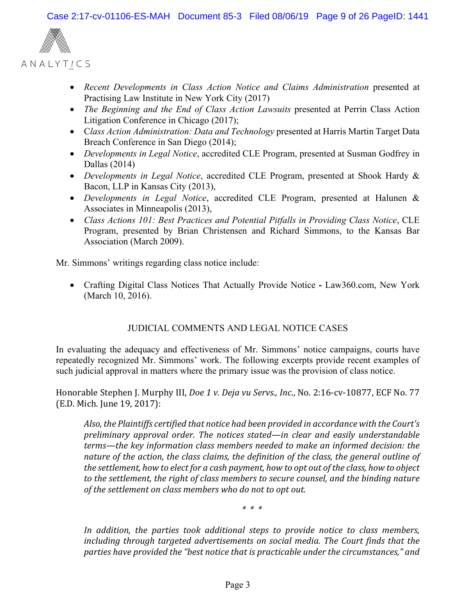

- Recent Developments in Class Action Notice and Claims Administration presented at Practising Law Institute in New York City (2017)
- *The Beginning and the End of Class Action Lawsuits* presented at Perrin Class Action Litigation Conference in Chicago (2017);
- C*lass Action Administration: Data and Technology* presented at Harris Martin Target Data Breach Conference in San Diego (2014);
- *Developments in Legal Notice*, accredited CLE Program, presented at Susman Godfrey in Dallas (2014)
- *Developments in Legal Notice*, accredited CLE Program, presented at Shook Hardy & Bacon, LLP in Kansas City (2013),
- *Developments in Legal Notice*, accredited CLE Program, presented at Halunen & Associates in Minneapolis (2013),
- *Class Actions 101: Best Practices and Potential Pitfalls in Providing Class Notice*, CLE Program, presented by Brian Christensen and Richard Simmons, to the Kansas Bar Association (March 2009).

Mr. Simmons' writings regarding class notice include:

 Crafting Digital Class Notices That Actually Provide Notice **-** Law360.com, New York (March 10, 2016).

## JUDICIAL COMMENTS AND LEGAL NOTICE CASES

In evaluating the adequacy and effectiveness of Mr. Simmons' notice campaigns, courts have repeatedly recognized Mr. Simmons' work. The following excerpts provide recent examples of such judicial approval in matters where the primary issue was the provision of class notice.

Honorable Stephen J. Murphy III, *Doe 1 v. Deja vu Servs., Inc*., No. 2:16-cv-10877, ECF No. 77 (E.D. Mich. June 19, 2017):

*Also, the Plaintiffs certified that notice had been provided in accordance with the Court's preliminary approval order. The notices stated—in clear and easily understandable terms—the key information class members needed to make an informed decision: the nature of the action, the class claims, the definition of the class, the general outline of the settlement, how to elect for a cash payment, how to opt out of the class, how to object to the settlement, the right of class members to secure counsel, and the binding nature of the settlement on class members who do not to opt out.*

*\* \* \**

*In addition, the parties took additional steps to provide notice to class members, including through targeted advertisements on social media. The Court finds that the parties have provided the "best notice that is practicable under the circumstances," and*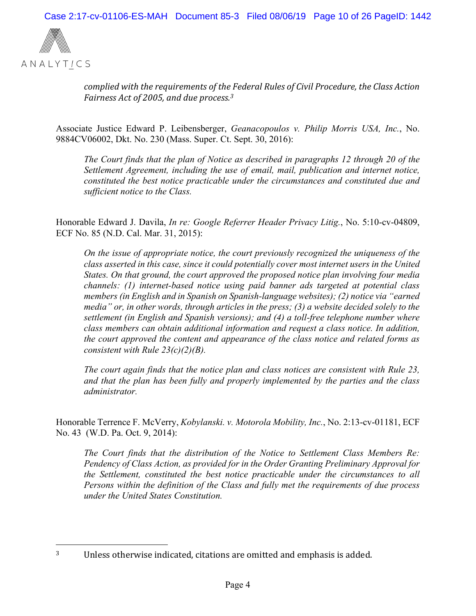

*complied with the requirements of the Federal Rules of Civil Procedure, the Class Action Fairness Act of 2005, and due process.3*

Associate Justice Edward P. Leibensberger, *Geanacopoulos v. Philip Morris USA, Inc.*, No. 9884CV06002, Dkt. No. 230 (Mass. Super. Ct. Sept. 30, 2016):

*The Court finds that the plan of Notice as described in paragraphs 12 through 20 of the Settlement Agreement, including the use of email, mail, publication and internet notice, constituted the best notice practicable under the circumstances and constituted due and sufficient notice to the Class.* 

Honorable Edward J. Davila, *In re: Google Referrer Header Privacy Litig.*, No. 5:10-cv-04809, ECF No. 85 (N.D. Cal. Mar. 31, 2015):

*On the issue of appropriate notice, the court previously recognized the uniqueness of the class asserted in this case, since it could potentially cover most internet users in the United States. On that ground, the court approved the proposed notice plan involving four media channels: (1) internet-based notice using paid banner ads targeted at potential class members (in English and in Spanish on Spanish-language websites); (2) notice via "earned media" or, in other words, through articles in the press; (3) a website decided solely to the settlement (in English and Spanish versions); and (4) a toll-free telephone number where class members can obtain additional information and request a class notice. In addition, the court approved the content and appearance of the class notice and related forms as consistent with Rule 23(c)(2)(B).* 

*The court again finds that the notice plan and class notices are consistent with Rule 23, and that the plan has been fully and properly implemented by the parties and the class administrator.* 

Honorable Terrence F. McVerry, *Kobylanski. v. Motorola Mobility, Inc.*, No. 2:13-cv-01181, ECF No. 43 (W.D. Pa. Oct. 9, 2014):

*The Court finds that the distribution of the Notice to Settlement Class Members Re: Pendency of Class Action, as provided for in the Order Granting Preliminary Approval for the Settlement, constituted the best notice practicable under the circumstances to all Persons within the definition of the Class and fully met the requirements of due process under the United States Constitution.* 

<sup>1</sup> 3 Unless otherwise indicated, citations are omitted and emphasis is added.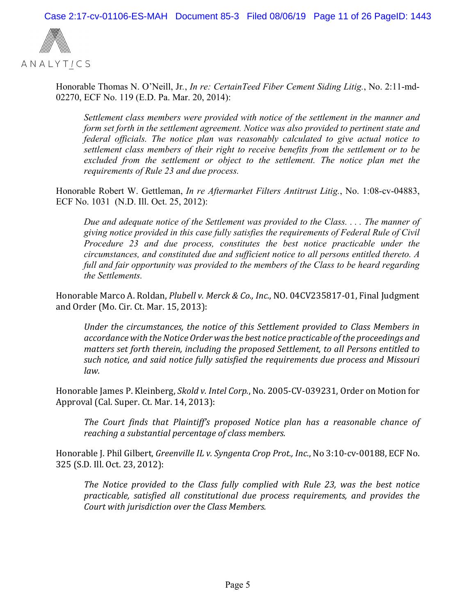

Honorable Thomas N. O'Neill, Jr*.*, *In re: CertainTeed Fiber Cement Siding Litig.*, No. 2:11-md-02270, ECF No. 119 (E.D. Pa. Mar. 20, 2014):

*Settlement class members were provided with notice of the settlement in the manner and form set forth in the settlement agreement. Notice was also provided to pertinent state and federal officials. The notice plan was reasonably calculated to give actual notice to settlement class members of their right to receive benefits from the settlement or to be*  excluded from the settlement or object to the settlement. The notice plan met the *requirements of Rule 23 and due process.* 

Honorable Robert W. Gettleman, *In re Aftermarket Filters Antitrust Litig.*, No. 1:08-cv-04883, ECF No. 1031 (N.D. Ill. Oct. 25, 2012):

*Due and adequate notice of the Settlement was provided to the Class. . . . The manner of giving notice provided in this case fully satisfies the requirements of Federal Rule of Civil Procedure 23 and due process, constitutes the best notice practicable under the circumstances, and constituted due and sufficient notice to all persons entitled thereto. A full and fair opportunity was provided to the members of the Class to be heard regarding the Settlements.* 

Honorable Marco A. Roldan, *Plubell v. Merck & Co., Inc.*, NO. 04CV235817-01, Final Judgment and Order (Mo. Cir. Ct. Mar. 15, 2013):

*Under the circumstances, the notice of this Settlement provided to Class Members in accordance with the Notice Order wasthe best notice practicable ofthe proceedings and matters set forth therein, including the proposed Settlement, to all Persons entitled to such notice, and said notice fully satisfied the requirements due process and Missouri law.*

Honorable James P. Kleinberg, *Skold v. Intel Corp.*, No. 2005-CV-039231, Order on Motion for Approval (Cal. Super. Ct. Mar. 14, 2013):

*The Court finds that Plaintiff's proposed Notice plan has a reasonable chance of reaching a substantial percentage of class members.*

Honorable J. Phil Gilbert, *Greenville IL v. Syngenta Crop Prot., Inc.*, No 3:10-cv-00188, ECF No. 325 (S.D. Ill. Oct. 23, 2012):

*The Notice provided to the Class fully complied with Rule 23, was the best notice practicable, satisfied all constitutional due process requirements, and provides the Court with jurisdiction over the Class Members.*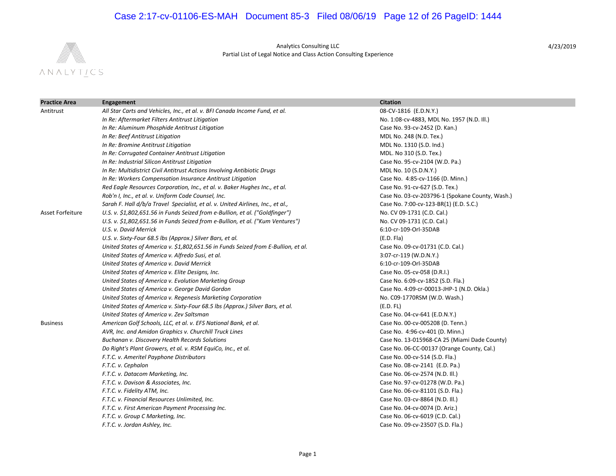## Case 2:17-cv-01106-ES-MAH Document 85-3 Filed 08/06/19 Page 12 of 26 PageID: 1444



Analytics Consulting LLC Partial List of Legal Notice and Class Action Consulting Experience

| <b>Practice Area</b> | <b>Engagement</b>                                                                 | <b>Citation</b>                                 |
|----------------------|-----------------------------------------------------------------------------------|-------------------------------------------------|
| Antitrust            | All Star Carts and Vehicles, Inc., et al. v. BFI Canada Income Fund, et al.       | 08-CV-1816 (E.D.N.Y.)                           |
|                      | In Re: Aftermarket Filters Antitrust Litigation                                   | No. 1:08-cv-4883, MDL No. 1957 (N.D. III.)      |
|                      | In Re: Aluminum Phosphide Antitrust Litigation                                    | Case No. 93-cv-2452 (D. Kan.)                   |
|                      | In Re: Beef Antitrust Litigation                                                  | MDL No. 248 (N.D. Tex.)                         |
|                      | In Re: Bromine Antitrust Litigation                                               | MDL No. 1310 (S.D. Ind.)                        |
|                      | In Re: Corrugated Container Antitrust Litigation                                  | MDL. No 310 (S.D. Tex.)                         |
|                      | In Re: Industrial Silicon Antitrust Litigation                                    | Case No. 95-cv-2104 (W.D. Pa.)                  |
|                      | In Re: Multidistrict Civil Antitrust Actions Involving Antibiotic Drugs           | MDL No. 10 (S.D.N.Y.)                           |
|                      | In Re: Workers Compensation Insurance Antitrust Litigation                        | Case No. 4:85-cv-1166 (D. Minn.)                |
|                      | Red Eagle Resources Corporation, Inc., et al. v. Baker Hughes Inc., et al.        | Case No. 91-cv-627 (S.D. Tex.)                  |
|                      | Rob'n I, Inc., et al. v. Uniform Code Counsel, Inc.                               | Case No. 03-cv-203796-1 (Spokane County, Wash.) |
|                      | Sarah F. Hall d/b/a Travel Specialist, et al. v. United Airlines, Inc., et al.,   | Case No. 7:00-cv-123-BR(1) (E.D. S.C.)          |
| Asset Forfeiture     | U.S. v. \$1,802,651.56 in Funds Seized from e-Bullion, et al. ("Goldfinger")      | No. CV 09-1731 (C.D. Cal.)                      |
|                      | U.S. v. \$1,802,651.56 in Funds Seized from e-Bullion, et al. ("Kum Ventures")    | No. CV 09-1731 (C.D. Cal.)                      |
|                      | U.S. v. David Merrick                                                             | 6:10-cr-109-Orl-35DAB                           |
|                      | U.S. v. Sixty-Four 68.5 lbs (Approx.) Silver Bars, et al.                         | (E.D. Fla)                                      |
|                      | United States of America v. \$1,802,651.56 in Funds Seized from E-Bullion, et al. | Case No. 09-cv-01731 (C.D. Cal.)                |
|                      | United States of America v. Alfredo Susi, et al.                                  | 3:07-cr-119 (W.D.N.Y.)                          |
|                      | United States of America v. David Merrick                                         | 6:10-cr-109-Orl-35DAB                           |
|                      | United States of America v. Elite Designs, Inc.                                   | Case No. 05-cv-058 (D.R.I.)                     |
|                      | United States of America v. Evolution Marketing Group                             | Case No. 6:09-cv-1852 (S.D. Fla.)               |
|                      | United States of America v. George David Gordon                                   | Case No. 4:09-cr-00013-JHP-1 (N.D. Okla.)       |
|                      | United States of America v. Regenesis Marketing Corporation                       | No. C09-1770RSM (W.D. Wash.)                    |
|                      | United States of America v. Sixty-Four 68.5 lbs (Approx.) Silver Bars, et al.     | (E.D. FL)                                       |
|                      | United States of America v. Zev Saltsman                                          | Case No. 04-cv-641 (E.D.N.Y.)                   |
| <b>Business</b>      | American Golf Schools, LLC, et al. v. EFS National Bank, et al.                   | Case No. 00-cv-005208 (D. Tenn.)                |
|                      | AVR, Inc. and Amidon Graphics v. Churchill Truck Lines                            | Case No. 4:96-cv-401 (D. Minn.)                 |
|                      | Buchanan v. Discovery Health Records Solutions                                    | Case No. 13-015968-CA 25 (Miami Dade County)    |
|                      | Do Right's Plant Growers, et al. v. RSM EquiCo, Inc., et al.                      | Case No. 06-CC-00137 (Orange County, Cal.)      |
|                      | F.T.C. v. Ameritel Payphone Distributors                                          | Case No. 00-cv-514 (S.D. Fla.)                  |
|                      | F.T.C. v. Cephalon                                                                | Case No. 08-cv-2141 (E.D. Pa.)                  |
|                      | F.T.C. v. Datacom Marketing, Inc.                                                 | Case No. 06-cv-2574 (N.D. III.)                 |
|                      | F.T.C. v. Davison & Associates, Inc.                                              | Case No. 97-cv-01278 (W.D. Pa.)                 |
|                      | F.T.C. v. Fidelity ATM, Inc.                                                      | Case No. 06-cv-81101 (S.D. Fla.)                |
|                      | F.T.C. v. Financial Resources Unlimited, Inc.                                     | Case No. 03-cv-8864 (N.D. Ill.)                 |
|                      | F.T.C. v. First American Payment Processing Inc.                                  | Case No. 04-cv-0074 (D. Ariz.)                  |
|                      | F.T.C. v. Group C Marketing, Inc.                                                 | Case No. 06-cv-6019 (C.D. Cal.)                 |
|                      | F.T.C. v. Jordan Ashley, Inc.                                                     | Case No. 09-cv-23507 (S.D. Fla.)                |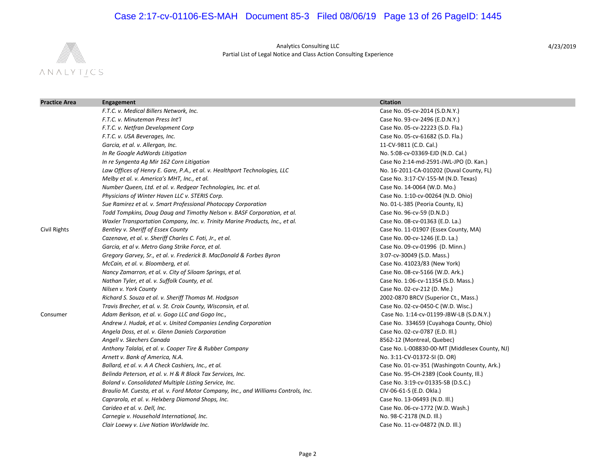## Case 2:17-cv-01106-ES-MAH Document 85-3 Filed 08/06/19 Page 13 of 26 PageID: 1445



Analytics Consulting LLC Partial List of Legal Notice and Class Action Consulting Experience

| <b>Practice Area</b> | Engagement                                                                         | <b>Citation</b>                                |
|----------------------|------------------------------------------------------------------------------------|------------------------------------------------|
|                      | F.T.C. v. Medical Billers Network, Inc.                                            | Case No. 05-cv-2014 (S.D.N.Y.)                 |
|                      | F.T.C. v. Minuteman Press Int'l                                                    | Case No. 93-cv-2496 (E.D.N.Y.)                 |
|                      | F.T.C. v. Netfran Development Corp                                                 | Case No. 05-cv-22223 (S.D. Fla.)               |
|                      | F.T.C. v. USA Beverages, Inc.                                                      | Case No. 05-cv-61682 (S.D. Fla.)               |
|                      | Garcia, et al. v. Allergan, Inc.                                                   | 11-CV-9811 (C.D. Cal.)                         |
|                      | In Re Google AdWords Litigation                                                    | No. 5:08-cv-03369-EJD (N.D. Cal.)              |
|                      | In re Syngenta Ag Mir 162 Corn Litigation                                          | Case No 2:14-md-2591-JWL-JPO (D. Kan.)         |
|                      | Law Offices of Henry E. Gare, P.A., et al. v. Healthport Technologies, LLC         | No. 16-2011-CA-010202 (Duval County, FL)       |
|                      | Melby et al. v. America's MHT, Inc., et al.                                        | Case No. 3:17-CV-155-M (N.D. Texas)            |
|                      | Number Queen, Ltd. et al. v. Redgear Technologies, Inc. et al.                     | Case No. 14-0064 (W.D. Mo.)                    |
|                      | Physicians of Winter Haven LLC v. STERIS Corp.                                     | Case No. 1:10-cv-00264 (N.D. Ohio)             |
|                      | Sue Ramirez et al. v. Smart Professional Photocopy Corporation                     | No. 01-L-385 (Peoria County, IL)               |
|                      | Todd Tompkins, Doug Daug and Timothy Nelson v. BASF Corporation, et al.            | Case No. 96-cv-59 (D.N.D.)                     |
|                      | Waxler Transportation Company, Inc. v. Trinity Marine Products, Inc., et al.       | Case No. 08-cv-01363 (E.D. La.)                |
| Civil Rights         | Bentley v. Sheriff of Essex County                                                 | Case No. 11-01907 (Essex County, MA)           |
|                      | Cazenave, et al. v. Sheriff Charles C. Foti, Jr., et al.                           | Case No. 00-cv-1246 (E.D. La.)                 |
|                      | Garcia, et al v. Metro Gang Strike Force, et al.                                   | Case No. 09-cv-01996 (D. Minn.)                |
|                      | Gregory Garvey, Sr., et al. v. Frederick B. MacDonald & Forbes Byron               | 3:07-cv-30049 (S.D. Mass.)                     |
|                      | McCain, et al. v. Bloomberg, et al.                                                | Case No. 41023/83 (New York)                   |
|                      | Nancy Zamarron, et al. v. City of Siloam Springs, et al.                           | Case No. 08-cv-5166 (W.D. Ark.)                |
|                      | Nathan Tyler, et al. v. Suffolk County, et al.                                     | Case No. 1:06-cv-11354 (S.D. Mass.)            |
|                      | Nilsen v. York County                                                              | Case No. 02-cv-212 (D. Me.)                    |
|                      | Richard S. Souza et al. v. Sheriff Thomas M. Hodgson                               | 2002-0870 BRCV (Superior Ct., Mass.)           |
|                      | Travis Brecher, et al. v. St. Croix County, Wisconsin, et al.                      | Case No. 02-cv-0450-C (W.D. Wisc.)             |
| Consumer             | Adam Berkson, et al. v. Gogo LLC and Gogo Inc.,                                    | Case No. 1:14-cv-01199-JBW-LB (S.D.N.Y.)       |
|                      | Andrew J. Hudak, et al. v. United Companies Lending Corporation                    | Case No. 334659 (Cuyahoga County, Ohio)        |
|                      | Angela Doss, et al. v. Glenn Daniels Corporation                                   | Case No. 02-cv-0787 (E.D. Ill.)                |
|                      | Angell v. Skechers Canada                                                          | 8562-12 (Montreal, Quebec)                     |
|                      | Anthony Talalai, et al. v. Cooper Tire & Rubber Company                            | Case No. L-008830-00-MT (Middlesex County, NJ) |
|                      | Arnett v. Bank of America, N.A.                                                    | No. 3:11-CV-01372-SI (D. OR)                   |
|                      | Ballard, et al. v. A A Check Cashiers, Inc., et al.                                | Case No. 01-cv-351 (Washingotn County, Ark.)   |
|                      | Belinda Peterson, et al. v. H & R Block Tax Services, Inc.                         | Case No. 95-CH-2389 (Cook County, Ill.)        |
|                      | Boland v. Consolidated Multiple Listing Service, Inc.                              | Case No. 3:19-cv-01335-SB (D.S.C.)             |
|                      | Braulio M. Cuesta, et al. v. Ford Motor Company, Inc., and Williams Controls, Inc. | CIV-06-61-S (E.D. Okla.)                       |
|                      | Caprarola, et al. v. Helxberg Diamond Shops, Inc.                                  | Case No. 13-06493 (N.D. III.)                  |
|                      | Carideo et al. v. Dell, Inc.                                                       | Case No. 06-cv-1772 (W.D. Wash.)               |
|                      | Carnegie v. Household International, Inc.                                          | No. 98-C-2178 (N.D. III.)                      |
|                      | Clair Loewy v. Live Nation Worldwide Inc.                                          | Case No. 11-cv-04872 (N.D. III.)               |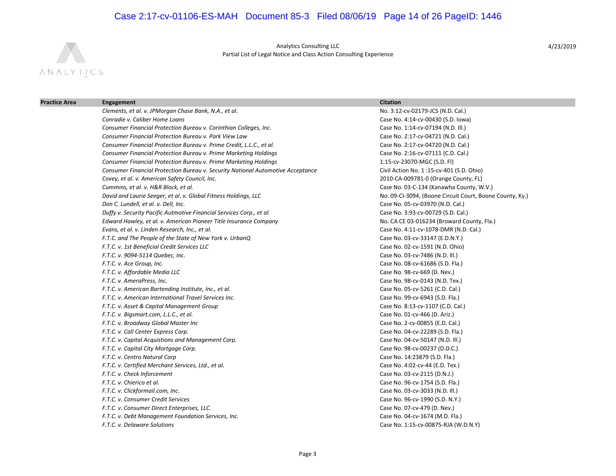## Case 2:17-cv-01106-ES-MAH Document 85-3 Filed 08/06/19 Page 14 of 26 PageID: 1446



Analytics Consulting LLC Partial List of Legal Notice and Class Action Consulting Experience

| <b>Practice Area</b> | <b>Engagement</b>                                                               | <b>Citation</b>                                          |
|----------------------|---------------------------------------------------------------------------------|----------------------------------------------------------|
|                      | Clements, et al. v. JPMorgan Chase Bank, N.A., et al.                           | No. 3:12-cv-02179-JCS (N.D. Cal.)                        |
|                      | Conradie v. Caliber Home Loans                                                  | Case No. 4:14-cv-00430 (S.D. lowa)                       |
|                      | Consumer Financial Protection Bureau v. Corinthian Colleges, Inc.               | Case No. 1:14-cv-07194 (N.D. III.)                       |
|                      | <b>Consumer Financial Protection Bureau v. Park View Law</b>                    | Case No. 2:17-cv-04721 (N.D. Cal.)                       |
|                      | Consumer Financial Protection Bureau v. Prime Credit, L.L.C., et al.            | Case No. 2:17-cv-04720 (N.D. Cal.)                       |
|                      | Consumer Financial Protection Bureau v. Prime Marketing Holdings                | Case No. 2:16-cv-07111 (C.D. Cal.)                       |
|                      | Consumer Financial Protection Bureau v. Prime Marketing Holdings                | 1:15-cv-23070-MGC (S.D. Fl)                              |
|                      | Consumer Financial Protection Bureau v. Security National Automotive Acceptance | Civil Action No. 1:15-cv-401 (S.D. Ohio)                 |
|                      | Covey, et al. v. American Safety Council, Inc.                                  | 2010-CA-009781-0 (Orange County, FL)                     |
|                      | Cummins, et al. v. H&R Block, et al.                                            | Case No. 03-C-134 (Kanawha County, W.V.)                 |
|                      | David and Laurie Seeger, et al. v. Global Fitness Holdings, LLC                 | No. 09-CI-3094, (Boone Circuit Court, Boone County, Ky.) |
|                      | Don C. Lundell, et al. v. Dell, Inc.                                            | Case No. 05-cv-03970 (N.D. Cal.)                         |
|                      | Duffy v. Security Pacific Autmotive Financial Services Corp., et al.            | Case No. 3:93-cv-00729 (S.D. Cal.)                       |
|                      | Edward Hawley, et al. v. American Pioneer Title Insurance Company               | No. CA CE 03-016234 (Broward County, Fla.)               |
|                      | Evans, et al. v. Linden Research, Inc., et al.                                  | Case No. 4:11-cv-1078-DMR (N.D. Cal.)                    |
|                      | F.T.C. and The People of the State of New York v. UrbanQ                        | Case No. 03-cv-33147 (E.D.N.Y.)                          |
|                      | F.T.C. v. 1st Beneficial Credit Services LLC                                    | Case No. 02-cv-1591 (N.D. Ohio)                          |
|                      | F.T.C. v. 9094-5114 Quebec, Inc.                                                | Case No. 03-cv-7486 (N.D. III.)                          |
|                      | F.T.C. v. Ace Group, Inc.                                                       | Case No. 08-cv-61686 (S.D. Fla.)                         |
|                      | F.T.C. v. Affordable Media LLC                                                  | Case No. 98-cv-669 (D. Nev.)                             |
|                      | F.T.C. v. AmeraPress, Inc.                                                      | Case No. 98-cv-0143 (N.D. Tex.)                          |
|                      | F.T.C. v. American Bartending Institute, Inc., et al.                           | Case No. 05-cv-5261 (C.D. Cal.)                          |
|                      | F.T.C. v. American International Travel Services Inc.                           | Case No. 99-cv-6943 (S.D. Fla.)                          |
|                      | F.T.C. v. Asset & Capital Management Group                                      | Case No. 8:13-cv-1107 (C.D. Cal.)                        |
|                      | F.T.C. v. Bigsmart.com, L.L.C., et al.                                          | Case No. 01-cv-466 (D. Ariz.)                            |
|                      | F.T.C. v. Broadway Global Master Inc                                            | Case No. 2-cv-00855 (E.D. Cal.)                          |
|                      | F.T.C. v. Call Center Express Corp.                                             | Case No. 04-cv-22289 (S.D. Fla.)                         |
|                      | F.T.C. v. Capital Acquistions and Management Corp.                              | Case No. 04-cv-50147 (N.D. III.)                         |
|                      | F.T.C. v. Capital City Mortgage Corp.                                           | Case No. 98-cv-00237 (D.D.C.)                            |
|                      | F.T.C. v. Centro Natural Corp                                                   | Case No. 14:23879 (S.D. Fla.)                            |
|                      | F.T.C. v. Certified Merchant Services, Ltd., et al.                             | Case No. 4:02-cv-44 (E.D. Tex.)                          |
|                      | F.T.C. v. Check Inforcement                                                     | Case No. 03-cv-2115 (D.N.J.)                             |
|                      | F.T.C. v. Chierico et al.                                                       | Case No. 96-cv-1754 (S.D. Fla.)                          |
|                      | F.T.C. v. Clickformail.com, Inc.                                                | Case No. 03-cv-3033 (N.D. Ill.)                          |
|                      | F.T.C. v. Consumer Credit Services                                              | Case No. 96-cv-1990 (S.D. N.Y.)                          |
|                      | F.T.C. v. Consumer Direct Enterprises, LLC.                                     | Case No. 07-cv-479 (D. Nev.)                             |
|                      | F.T.C. v. Debt Management Foundation Services, Inc.                             | Case No. 04-cv-1674 (M.D. Fla.)                          |
|                      | F.T.C. v. Delaware Solutions                                                    | Case No. 1:15-cv-00875-RJA (W.D.N.Y)                     |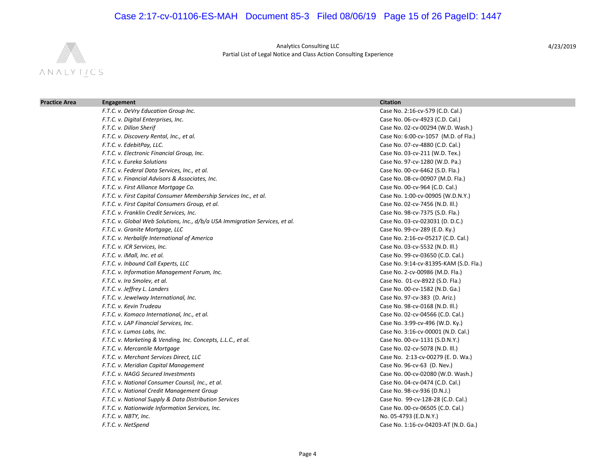## Case 2:17-cv-01106-ES-MAH Document 85-3 Filed 08/06/19 Page 15 of 26 PageID: 1447



Analytics Consulting LLC Partial List of Legal Notice and Class Action Consulting Experience

| <b>Practice Area</b> | Engagement                                                                   | <b>Citation</b>                        |  |
|----------------------|------------------------------------------------------------------------------|----------------------------------------|--|
|                      | F.T.C. v. DeVry Education Group Inc.                                         | Case No. 2:16-cv-579 (C.D. Cal.)       |  |
|                      | F.T.C. v. Digital Enterprises, Inc.                                          | Case No. 06-cv-4923 (C.D. Cal.)        |  |
|                      | F.T.C. v. Dillon Sherif                                                      | Case No. 02-cv-00294 (W.D. Wash.)      |  |
|                      | F.T.C. v. Discovery Rental, Inc., et al.                                     | Case No: 6:00-cv-1057 (M.D. of Fla.)   |  |
|                      | F.T.C. v. EdebitPay, LLC.                                                    | Case No. 07-cv-4880 (C.D. Cal.)        |  |
|                      | F.T.C. v. Electronic Financial Group, Inc.                                   | Case No. 03-cv-211 (W.D. Tex.)         |  |
|                      | F.T.C. v. Eureka Solutions                                                   | Case No. 97-cv-1280 (W.D. Pa.)         |  |
|                      | F.T.C. v. Federal Data Services, Inc., et al.                                | Case No. 00-cv-6462 (S.D. Fla.)        |  |
|                      | F.T.C. v. Financial Advisors & Associates, Inc.                              | Case No. 08-cv-00907 (M.D. Fla.)       |  |
|                      | F.T.C. v. First Alliance Mortgage Co.                                        | Case No. 00-cv-964 (C.D. Cal.)         |  |
|                      | F.T.C. v. First Capital Consumer Membership Services Inc., et al.            | Case No. 1:00-cv-00905 (W.D.N.Y.)      |  |
|                      | F.T.C. v. First Capital Consumers Group, et al.                              | Case No. 02-cv-7456 (N.D. Ill.)        |  |
|                      | F.T.C. v. Franklin Credit Services, Inc.                                     | Case No. 98-cv-7375 (S.D. Fla.)        |  |
|                      | F.T.C. v. Global Web Solutions, Inc., d/b/a USA Immigration Services, et al. | Case No. 03-cv-023031 (D. D.C.)        |  |
|                      | F.T.C. v. Granite Mortgage, LLC                                              | Case No. 99-cv-289 (E.D. Ky.)          |  |
|                      | F.T.C. v. Herbalife International of America                                 | Case No. 2:16-cv-05217 (C.D. Cal.)     |  |
|                      | F.T.C. v. ICR Services, Inc.                                                 | Case No. 03-cv-5532 (N.D. Ill.)        |  |
|                      | F.T.C. v. iMall, Inc. et al.                                                 | Case No. 99-cv-03650 (C.D. Cal.)       |  |
|                      | F.T.C. v. Inbound Call Experts, LLC                                          | Case No. 9:14-cv-81395-KAM (S.D. Fla.) |  |
|                      | F.T.C. v. Information Management Forum, Inc.                                 | Case No. 2-cv-00986 (M.D. Fla.)        |  |
|                      | F.T.C. v. Ira Smolev, et al.                                                 | Case No. 01-cv-8922 (S.D. Fla.)        |  |
|                      | F.T.C. v. Jeffrey L. Landers                                                 | Case No. 00-cv-1582 (N.D. Ga.)         |  |
|                      | F.T.C. v. Jewelway International, Inc.                                       | Case No. 97-cv-383 (D. Ariz.)          |  |
|                      | F.T.C. v. Kevin Trudeau                                                      | Case No. 98-cv-0168 (N.D. III.)        |  |
|                      | F.T.C. v. Komaco International, Inc., et al.                                 | Case No. 02-cv-04566 (C.D. Cal.)       |  |
|                      | F.T.C. v. LAP Financial Services, Inc.                                       | Case No. 3:99-cv-496 (W.D. Ky.)        |  |
|                      | F.T.C. v. Lumos Labs, Inc.                                                   | Case No. 3:16-cv-00001 (N.D. Cal.)     |  |
|                      | F.T.C. v. Marketing & Vending, Inc. Concepts, L.L.C., et al.                 | Case No. 00-cv-1131 (S.D.N.Y.)         |  |
|                      | F.T.C. v. Mercantile Mortgage                                                | Case No. 02-cv-5078 (N.D. Ill.)        |  |
|                      | F.T.C. v. Merchant Services Direct, LLC                                      | Case No. 2:13-cv-00279 (E. D. Wa.)     |  |
|                      | F.T.C. v. Meridian Capital Management                                        | Case No. 96-cv-63 (D. Nev.)            |  |
|                      | F.T.C. v. NAGG Secured Investments                                           | Case No. 00-cv-02080 (W.D. Wash.)      |  |
|                      | F.T.C. v. National Consumer Counsil, Inc., et al.                            | Case No. 04-cv-0474 (C.D. Cal.)        |  |
|                      | F.T.C. v. National Credit Management Group                                   | Case No. 98-cv-936 (D.N.J.)            |  |
|                      | F.T.C. v. National Supply & Data Distribution Services                       | Case No. 99-cv-128-28 (C.D. Cal.)      |  |
|                      | F.T.C. v. Nationwide Information Services, Inc.                              | Case No. 00-cv-06505 (C.D. Cal.)       |  |
|                      | F.T.C. v. NBTY, Inc.                                                         | No. 05-4793 (E.D.N.Y.)                 |  |
|                      | F.T.C. v. NetSpend                                                           | Case No. 1:16-cv-04203-AT (N.D. Ga.)   |  |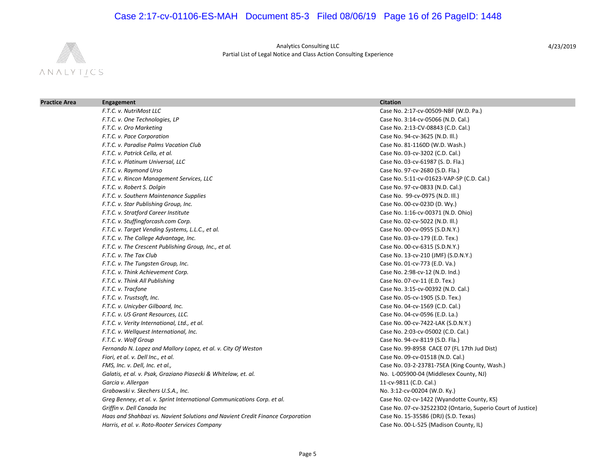## Case 2:17-cv-01106-ES-MAH Document 85-3 Filed 08/06/19 Page 16 of 26 PageID: 1448



Analytics Consulting LLC Partial List of Legal Notice and Class Action Consulting Experience

| <b>Practice Area</b> | Engagement                                                                     | <b>Citation</b>                                             |
|----------------------|--------------------------------------------------------------------------------|-------------------------------------------------------------|
|                      | F.T.C. v. NutriMost LLC                                                        | Case No. 2:17-cv-00509-NBF (W.D. Pa.)                       |
|                      | F.T.C. v. One Technologies, LP                                                 | Case No. 3:14-cv-05066 (N.D. Cal.)                          |
|                      | F.T.C. v. Oro Marketing                                                        | Case No. 2:13-CV-08843 (C.D. Cal.)                          |
|                      | F.T.C. v. Pace Corporation                                                     | Case No. 94-cv-3625 (N.D. Ill.)                             |
|                      | F.T.C. v. Paradise Palms Vacation Club                                         | Case No. 81-1160D (W.D. Wash.)                              |
|                      | F.T.C. v. Patrick Cella, et al.                                                | Case No. 03-cv-3202 (C.D. Cal.)                             |
|                      | F.T.C. v. Platinum Universal, LLC                                              | Case No. 03-cv-61987 (S. D. Fla.)                           |
|                      | F.T.C. v. Raymond Urso                                                         | Case No. 97-cv-2680 (S.D. Fla.)                             |
|                      | F.T.C. v. Rincon Management Services, LLC                                      | Case No. 5:11-cv-01623-VAP-SP (C.D. Cal.)                   |
|                      | F.T.C. v. Robert S. Dolgin                                                     | Case No. 97-cv-0833 (N.D. Cal.)                             |
|                      | F.T.C. v. Southern Maintenance Supplies                                        | Case No. 99-cv-0975 (N.D. Ill.)                             |
|                      | F.T.C. v. Star Publishing Group, Inc.                                          | Case No. 00-cv-023D (D. Wy.)                                |
|                      | F.T.C. v. Stratford Career Institute                                           | Case No. 1:16-cv-00371 (N.D. Ohio)                          |
|                      | F.T.C. v. Stuffingforcash.com Corp.                                            | Case No. 02-cv-5022 (N.D. Ill.)                             |
|                      | F.T.C. v. Target Vending Systems, L.L.C., et al.                               | Case No. 00-cv-0955 (S.D.N.Y.)                              |
|                      | F.T.C. v. The College Advantage, Inc.                                          | Case No. 03-cv-179 (E.D. Tex.)                              |
|                      | F.T.C. v. The Crescent Publishing Group, Inc., et al.                          | Case No. 00-cv-6315 (S.D.N.Y.)                              |
|                      | F.T.C. v. The Tax Club                                                         | Case No. 13-cv-210 (JMF) (S.D.N.Y.)                         |
|                      | F.T.C. v. The Tungsten Group, Inc.                                             | Case No. 01-cv-773 (E.D. Va.)                               |
|                      | F.T.C. v. Think Achievement Corp.                                              | Case No. 2:98-cv-12 (N.D. Ind.)                             |
|                      | F.T.C. v. Think All Publishing                                                 | Case No. 07-cv-11 (E.D. Tex.)                               |
|                      | F.T.C. v. Tracfone                                                             | Case No. 3:15-cv-00392 (N.D. Cal.)                          |
|                      | F.T.C. v. Trustsoft, Inc.                                                      | Case No. 05-cv-1905 (S.D. Tex.)                             |
|                      | F.T.C. v. Unicyber Gilboard, Inc.                                              | Case No. 04-cv-1569 (C.D. Cal.)                             |
|                      | F.T.C. v. US Grant Resources, LLC.                                             | Case No. 04-cv-0596 (E.D. La.)                              |
|                      | F.T.C. v. Verity International, Ltd., et al.                                   | Case No. 00-cv-7422-LAK (S.D.N.Y.)                          |
|                      | F.T.C. v. Wellquest International, Inc.                                        | Case No. 2:03-cv-05002 (C.D. Cal.)                          |
|                      | F.T.C. v. Wolf Group                                                           | Case No. 94-cv-8119 (S.D. Fla.)                             |
|                      | Fernando N. Lopez and Mallory Lopez, et al. v. City Of Weston                  | Case No. 99-8958 CACE 07 (FL 17th Jud Dist)                 |
|                      | Fiori, et al. v. Dell Inc., et al.                                             | Case No. 09-cv-01518 (N.D. Cal.)                            |
|                      | FMS, Inc. v. Dell, Inc. et al.,                                                | Case No. 03-2-23781-7SEA (King County, Wash.)               |
|                      | Galatis, et al. v. Psak, Graziano Piasecki & Whitelaw, et. al.                 | No. L-005900-04 (Middlesex County, NJ)                      |
|                      | Garcia v. Allergan                                                             | 11-cv-9811 (C.D. Cal.)                                      |
|                      | Grabowski v. Skechers U.S.A., Inc.                                             | No. 3:12-cv-00204 (W.D. Ky.)                                |
|                      | Greg Benney, et al. v. Sprint International Communications Corp. et al.        | Case No. 02-cv-1422 (Wyandotte County, KS)                  |
|                      | Griffin v. Dell Canada Inc                                                     | Case No. 07-cv-325223D2 (Ontario, Superio Court of Justice) |
|                      | Haas and Shahbazi vs. Navient Solutions and Navient Credit Finance Corporation | Case No. 15-35586 (DRJ) (S.D. Texas)                        |
|                      | Harris, et al. v. Roto-Rooter Services Company                                 | Case No. 00-L-525 (Madison County, IL)                      |
|                      |                                                                                |                                                             |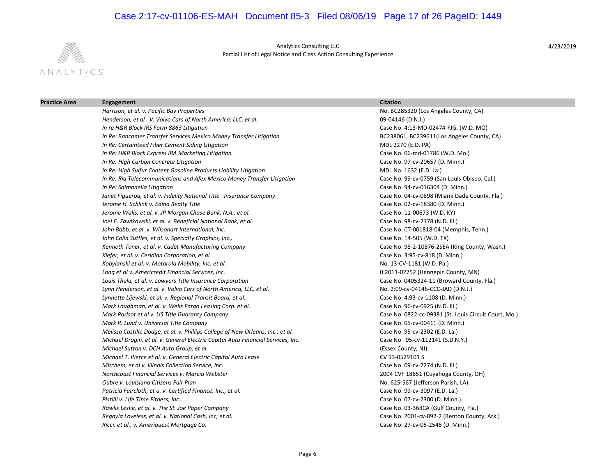## Case 2:17-cv-01106-ES-MAH Document 85-3 Filed 08/06/19 Page 17 of 26 PageID: 1449



Analytics Consulting LLC Partial List of Legal Notice and Class Action Consulting Experience

| <b>Practice Area</b> | Engagement                                                                       | <b>Citation</b>                                       |  |
|----------------------|----------------------------------------------------------------------------------|-------------------------------------------------------|--|
|                      | Harrison, et al. v. Pacific Bay Properties                                       | No. BC285320 (Los Angeles County, CA)                 |  |
|                      | Henderson, et al. V. Volvo Cars of North America, LLC, et al.                    | 09-04146 (D.N.J.)                                     |  |
|                      | In re H&R Block IRS Form 8863 Litigation                                         | Case No. 4:13-MD-02474-FJG. (W.D. MO)                 |  |
|                      | In Re: Bancomer Transfer Services Mexico Money Transfer Litigation               | BC238061, BC239611(Los Angeles County, CA)            |  |
|                      | In Re: Certainteed Fiber Cement Siding Litigation                                | MDL 2270 (E.D. PA)                                    |  |
|                      | In Re: H&R Block Express IRA Marketing Litigation                                | Case No. 06-md-01786 (W.D. Mo.)                       |  |
|                      | In Re: High Carbon Concrete Litigation                                           | Case No. 97-cv-20657 (D. Minn.)                       |  |
|                      | In Re: High Sulfur Content Gasoline Products Liability Litigation                | MDL No. 1632 (E.D. La.)                               |  |
|                      | In Re: Ria Telecommunications and Afex Mexico Money Transfer Litigation          | Case No. 99-cv-0759 (San Louis Obispo, Cal.)          |  |
|                      | In Re: Salmonella Litigation                                                     | Case No. 94-cv-016304 (D. Minn.)                      |  |
|                      | Janet Figueroa, et al. v. Fidelity National Title Insurance Company              | Case No. 04-cv-0898 (Miami Dade County, Fla.)         |  |
|                      | Jerome H. Schlink v. Edina Realty Title                                          | Case No. 02-cv-18380 (D. Minn.)                       |  |
|                      | Jerome Walls, et al. v. JP Morgan Chase Bank, N.A., et al.                       | Case No. 11-00673 (W.D. KY)                           |  |
|                      | Joel E. Zawikowski, et al. v. Beneficial National Bank, et al.                   | Case No. 98-cv-2178 (N.D. III.)                       |  |
|                      | John Babb, et al. v. Wilsonart International, Inc.                               | Case No. CT-001818-04 (Memphis, Tenn.)                |  |
|                      | John Colin Suttles, et al. v. Specialty Graphics, Inc.,                          | Case No. 14-505 (W.D. TX)                             |  |
|                      | Kenneth Toner, et al. v. Cadet Manufacturing Company                             | Case No. 98-2-10876-2SEA (King County, Wash.)         |  |
|                      | Kiefer, et al. v. Ceridian Corporation, et al.                                   | Case No. 3:95-cv-818 (D. Minn.)                       |  |
|                      | Kobylanski et al. v. Motorola Mobility, Inc. et al.                              | No. 13-CV-1181 (W.D. Pa.)                             |  |
|                      | Long et al v. Americredit Financial Services, Inc.                               | 0:2011-02752 (Hennepin County, MN)                    |  |
|                      | Louis Thula, et al. v. Lawyers Title Insurance Corporation                       | Case No. 0405324-11 (Broward County, Fla.)            |  |
|                      | Lynn Henderson, et al. v. Volvo Cars of North America, LLC, et al.               | No. 2:09-cv-04146-CCC-JAD (D.N.J.)                    |  |
|                      | Lynnette Lijewski, et al. v. Regional Transit Board, et al.                      | Case No. 4:93-cv-1108 (D. Minn.)                      |  |
|                      | Mark Laughman, et al. v. Wells Fargo Leasing Corp. et al.                        | Case No. 96-cv-0925 (N.D. Ill.)                       |  |
|                      | Mark Parisot et al v. US Title Guaranty Company                                  | Case No. 0822-cc-09381 (St. Louis Circuit Court, Mo.) |  |
|                      | Mark R. Lund v. Universal Title Company                                          | Case No. 05-cv-00411 (D. Minn.)                       |  |
|                      | Melissa Castille Dodge, et al. v. Phillips College of New Orleans, Inc., et al.  | Case No. 95-cv-2302 (E.D. La.)                        |  |
|                      | Michael Drogin, et al. v. General Electric Capital Auto Financial Services, Inc. | Case No. 95-cv-112141 (S.D.N.Y.)                      |  |
|                      | Michael Sutton v. DCH Auto Group, et al.                                         | (Essex County, NJ)                                    |  |
|                      | Michael T. Pierce et al. v. General Electric Capital Auto Lease                  | CV 93-0529101 S                                       |  |
|                      | Mitchem, et al v. Illinois Collection Service, Inc.                              | Case No. 09-cv-7274 (N.D. III.)                       |  |
|                      | Northcoast Financial Services v. Marcia Webster                                  | 2004 CVF 18651 (Cuyahoga County, OH)                  |  |
|                      | Oubre y. Louisiana Citizens Fair Plan                                            | No. 625-567 (Jefferson Parish, LA)                    |  |
|                      | Patricia Faircloth, et a. v. Certified Finance, Inc., et al.                     | Case No. 99-cv-3097 (E.D. La.)                        |  |
|                      | Pistilli v. Life Time Fitness, Inc.                                              | Case No. 07-cv-2300 (D. Minn.)                        |  |
|                      | Rawlis Leslie, et al. v. The St. Joe Paper Company                               | Case No. 03-368CA (Gulf County, Fla.)                 |  |
|                      | Regayla Loveless, et al. v. National Cash, Inc, et al.                           | Case No. 2001-cv-892-2 (Benton County, Ark.)          |  |
|                      | Ricci, et al., v. Ameriquest Mortgage Co.                                        | Case No. 27-cv-05-2546 (D. Minn.)                     |  |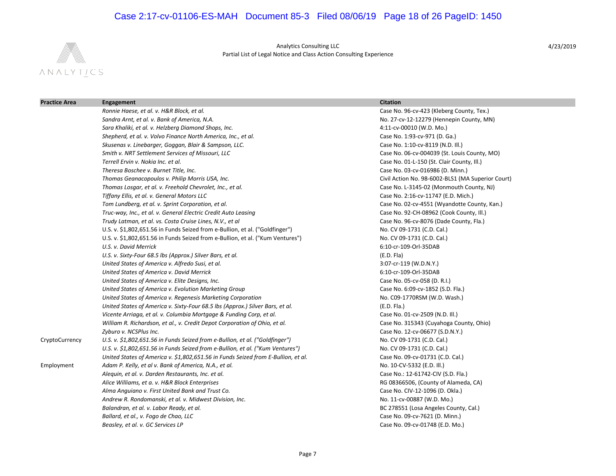## Case 2:17-cv-01106-ES-MAH Document 85-3 Filed 08/06/19 Page 18 of 26 PageID: 1450



Analytics Consulting LLC Partial List of Legal Notice and Class Action Consulting Experience

| <b>Practice Area</b> | Engagement                                                                        | <b>Citation</b>                                   |
|----------------------|-----------------------------------------------------------------------------------|---------------------------------------------------|
|                      | Ronnie Haese, et al. v. H&R Block, et al.                                         | Case No. 96-cv-423 (Kleberg County, Tex.)         |
|                      | Sandra Arnt, et al. v. Bank of America, N.A.                                      | No. 27-cv-12-12279 (Hennepin County, MN)          |
|                      | Sara Khaliki, et al. v. Helzberg Diamond Shops, Inc.                              | 4:11-cv-00010 (W.D. Mo.)                          |
|                      | Shepherd, et al. v. Volvo Finance North America, Inc., et al.                     | Case No. 1:93-cv-971 (D. Ga.)                     |
|                      | Skusenas v. Linebarger, Goggan, Blair & Sampson, LLC.                             | Case No. 1:10-cv-8119 (N.D. III.)                 |
|                      | Smith v. NRT Settlement Services of Missouri, LLC                                 | Case No. 06-cv-004039 (St. Louis County, MO)      |
|                      | Terrell Ervin v. Nokia Inc. et al.                                                | Case No. 01-L-150 (St. Clair County, Ill.)        |
|                      | Theresa Boschee v. Burnet Title, Inc.                                             | Case No. 03-cv-016986 (D. Minn.)                  |
|                      | Thomas Geanacopoulos v. Philip Morris USA, Inc.                                   | Civil Action No. 98-6002-BLS1 (MA Superior Court) |
|                      | Thomas Losgar, et al. v. Freehold Chevrolet, Inc., et al.                         | Case No. L-3145-02 (Monmouth County, NJ)          |
|                      | Tiffany Ellis, et al. v. General Motors LLC                                       | Case No. 2:16-cv-11747 (E.D. Mich.)               |
|                      | Tom Lundberg, et al. v. Sprint Corporation, et al.                                | Case No. 02-cv-4551 (Wyandotte County, Kan.)      |
|                      | Truc-way, Inc., et al. v. General Electric Credit Auto Leasing                    | Case No. 92-CH-08962 (Cook County, Ill.)          |
|                      | Trudy Latman, et al. vs. Costa Cruise Lines, N.V., et al                          | Case No. 96-cv-8076 (Dade County, Fla.)           |
|                      | U.S. v. \$1,802,651.56 in Funds Seized from e-Bullion, et al. ("Goldfinger")      | No. CV 09-1731 (C.D. Cal.)                        |
|                      | U.S. v. \$1,802,651.56 in Funds Seized from e-Bullion, et al. ("Kum Ventures")    | No. CV 09-1731 (C.D. Cal.)                        |
|                      | U.S. v. David Merrick                                                             | 6:10-cr-109-Orl-35DAB                             |
|                      | U.S. v. Sixty-Four 68.5 lbs (Approx.) Silver Bars, et al.                         | (E.D. Fla)                                        |
|                      | United States of America v. Alfredo Susi, et al.                                  | 3:07-cr-119 (W.D.N.Y.)                            |
|                      | United States of America v. David Merrick                                         | 6:10-cr-109-Orl-35DAB                             |
|                      | United States of America v. Elite Designs, Inc.                                   | Case No. 05-cv-058 (D. R.I.)                      |
|                      | United States of America v. Evolution Marketing Group                             | Case No. 6:09-cv-1852 (S.D. Fla.)                 |
|                      | United States of America v. Regenesis Marketing Corporation                       | No. C09-1770RSM (W.D. Wash.)                      |
|                      | United States of America v. Sixty-Four 68.5 lbs (Approx.) Silver Bars, et al.     | (E.D. Fla.)                                       |
|                      | Vicente Arriaga, et al. v. Columbia Mortgage & Funding Corp, et al.               | Case No. 01-cv-2509 (N.D. Ill.)                   |
|                      | William R. Richardson, et al., v. Credit Depot Corporation of Ohio, et al.        | Case No. 315343 (Cuyahoga County, Ohio)           |
|                      | Zyburo v. NCSPlus Inc.                                                            | Case No. 12-cv-06677 (S.D.N.Y.)                   |
| CryptoCurrency       | U.S. v. \$1,802,651.56 in Funds Seized from e-Bullion, et al. ("Goldfinger")      | No. CV 09-1731 (C.D. Cal.)                        |
|                      | U.S. v. \$1,802,651.56 in Funds Seized from e-Bullion, et al. ("Kum Ventures")    | No. CV 09-1731 (C.D. Cal.)                        |
|                      | United States of America v. \$1,802,651.56 in Funds Seized from E-Bullion, et al. | Case No. 09-cv-01731 (C.D. Cal.)                  |
| Employment           | Adam P. Kelly, et al v. Bank of America, N.A., et al.                             | No. 10-CV-5332 (E.D. III.)                        |
|                      | Alequin, et al. v. Darden Restaurants, Inc. et al.                                | Case No.: 12-61742-CIV (S.D. Fla.)                |
|                      | Alice Williams, et a. v. H&R Block Enterprises                                    | RG 08366506, (County of Alameda, CA)              |
|                      | Alma Anguiano v. First United Bank and Trust Co.                                  | Case No. CIV-12-1096 (D. Okla.)                   |
|                      | Andrew R. Rondomanski, et al. v. Midwest Division, Inc.                           | No. 11-cv-00887 (W.D. Mo.)                        |
|                      | Balandran, et al. v. Labor Ready, et al.                                          | BC 278551 (Losa Angeles County, Cal.)             |
|                      | Ballard, et al., v. Fogo de Chao, LLC                                             | Case No. 09-cv-7621 (D. Minn.)                    |
|                      | Beasley, et al. v. GC Services LP                                                 | Case No. 09-cv-01748 (E.D. Mo.)                   |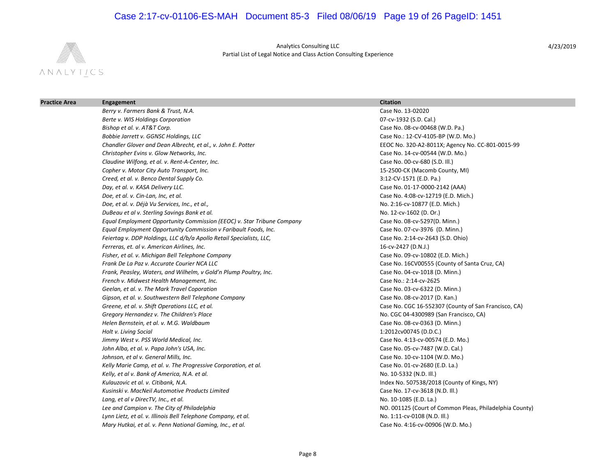## Case 2:17-cv-01106-ES-MAH Document 85-3 Filed 08/06/19 Page 19 of 26 PageID: 1451



Analytics Consulting LLC Partial List of Legal Notice and Class Action Consulting Experience

| <b>Practice Area</b> | Engagement                                                             | <b>Citation</b>                                         |
|----------------------|------------------------------------------------------------------------|---------------------------------------------------------|
|                      | Berry v. Farmers Bank & Trust, N.A.                                    | Case No. 13-02020                                       |
|                      | Berte v. WIS Holdings Corporation                                      | 07-cv-1932 (S.D. Cal.)                                  |
|                      | Bishop et al. v. AT&T Corp.                                            | Case No. 08-cv-00468 (W.D. Pa.)                         |
|                      | Bobbie Jarrett v. GGNSC Holdings, LLC                                  | Case No.: 12-CV-4105-BP (W.D. Mo.)                      |
|                      | Chandler Glover and Dean Albrecht, et al., v. John E. Potter           | EEOC No. 320-A2-8011X; Agency No. CC-801-0015-99        |
|                      | Christopher Evins v. Glow Networks, Inc.                               | Case No. 14-cv-00544 (W.D. Mo.)                         |
|                      | Claudine Wilfong, et al. v. Rent-A-Center, Inc.                        | Case No. 00-cv-680 (S.D. III.)                          |
|                      | Copher v. Motor City Auto Transport, Inc.                              | 15-2500-CK (Macomb County, MI)                          |
|                      | Creed, et al. v. Benco Dental Supply Co.                               | 3:12-CV-1571 (E.D. Pa.)                                 |
|                      | Day, et al. v. KASA Delivery LLC.                                      | Case No. 01-17-0000-2142 (AAA)                          |
|                      | Doe, et al. v. Cin-Lan, Inc, et al.                                    | Case No. 4:08-cv-12719 (E.D. Mich.)                     |
|                      | Doe, et al. v. Déjà Vu Services, Inc., et al.,                         | No. 2:16-cv-10877 (E.D. Mich.)                          |
|                      | DuBeau et al v. Sterling Savings Bank et al.                           | No. 12-cv-1602 (D. Or.)                                 |
|                      | Equal Employment Opportunity Commission (EEOC) v. Star Tribune Company | Case No. 08-cv-5297(D. Minn.)                           |
|                      | Equal Employment Opportunity Commission v Faribault Foods, Inc.        | Case No. 07-cv-3976 (D. Minn.)                          |
|                      | Feiertag v. DDP Holdings, LLC d/b/a Apollo Retail Specialists, LLC,    | Case No. 2:14-cv-2643 (S.D. Ohio)                       |
|                      | Ferreras, et. al v. American Airlines, Inc.                            | 16-cv-2427 (D.N.J.)                                     |
|                      | Fisher, et al. v. Michigan Bell Telephone Company                      | Case No. 09-cv-10802 (E.D. Mich.)                       |
|                      | Frank De La Paz v. Accurate Courier NCA LLC                            | Case No. 16CV00555 (County of Santa Cruz, CA)           |
|                      | Frank, Peasley, Waters, and Wilhelm, v Gold'n Plump Poultry, Inc.      | Case No. 04-cv-1018 (D. Minn.)                          |
|                      | French v. Midwest Health Management, Inc.                              | Case No.: 2:14-cv-2625                                  |
|                      | Geelan, et al. v. The Mark Travel Coporation                           | Case No. 03-cv-6322 (D. Minn.)                          |
|                      | Gipson, et al. v. Southwestern Bell Telephone Company                  | Case No. 08-cv-2017 (D. Kan.)                           |
|                      | Greene, et al. v. Shift Operations LLC, et al.                         | Case No. CGC 16-552307 (County of San Francisco, CA)    |
|                      | Gregory Hernandez v. The Children's Place                              | No. CGC 04-4300989 (San Francisco, CA)                  |
|                      | Helen Bernstein, et al. v. M.G. Waldbaum                               | Case No. 08-cv-0363 (D. Minn.)                          |
|                      | Holt v. Living Social                                                  | 1:2012cv00745 (D.D.C.)                                  |
|                      | Jimmy West v. PSS World Medical, Inc.                                  | Case No. 4:13-cv-00574 (E.D. Mo.)                       |
|                      | John Alba, et al. v. Papa John's USA, Inc.                             | Case No. 05-cv-7487 (W.D. Cal.)                         |
|                      | Johnson, et al v. General Mills, Inc.                                  | Case No. 10-cv-1104 (W.D. Mo.)                          |
|                      | Kelly Marie Camp, et al. v. The Progressive Corporation, et al.        | Case No. 01-cv-2680 (E.D. La.)                          |
|                      | Kelly, et al v. Bank of America, N.A. et al.                           | No. 10-5332 (N.D. III.)                                 |
|                      | Kulauzovic et al. v. Citibank, N.A.                                    | Index No. 507538/2018 (County of Kings, NY)             |
|                      | Kusinski v. MacNeil Automotive Products Limited                        | Case No. 17-cv-3618 (N.D. Ill.)                         |
|                      | Lang, et al v DirecTV, Inc., et al.                                    | No. 10-1085 (E.D. La.)                                  |
|                      | Lee and Campion v. The City of Philadelphia                            | NO. 001125 (Court of Common Pleas, Philadelphia County) |
|                      | Lynn Lietz, et al. v. Illinois Bell Telephone Company, et al.          | No. 1:11-cv-0108 (N.D. III.)                            |
|                      | Mary Hutkai, et al. v. Penn National Gaming, Inc., et al.              | Case No. 4:16-cv-00906 (W.D. Mo.)                       |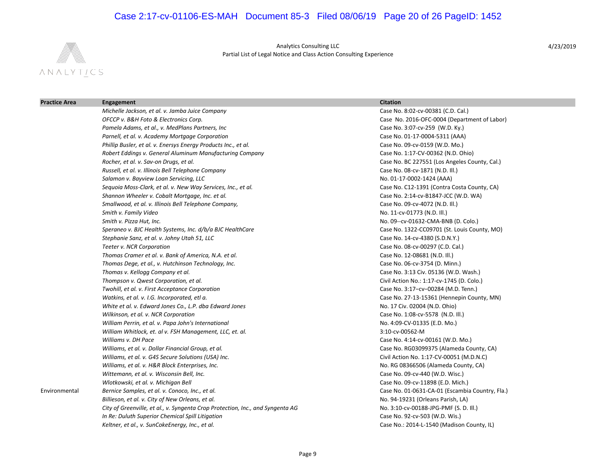## Case 2:17-cv-01106-ES-MAH Document 85-3 Filed 08/06/19 Page 20 of 26 PageID: 1452



Analytics Consulting LLC Partial List of Legal Notice and Class Action Consulting Experience

| Engagement                                                                     | <b>Citation</b>                                 |
|--------------------------------------------------------------------------------|-------------------------------------------------|
| Michelle Jackson, et al. v. Jamba Juice Company                                | Case No. 8:02-cv-00381 (C.D. Cal.)              |
| OFCCP v. B&H Foto & Electronics Corp.                                          | Case No. 2016-OFC-0004 (Department of Labor)    |
| Pamela Adams, et al., v. MedPlans Partners, Inc                                | Case No. 3:07-cv-259 (W.D. Ky.)                 |
| Parnell, et al. v. Academy Mortgage Corporation                                | Case No. 01-17-0004-5311 (AAA)                  |
| Phillip Busler, et al. v. Enersys Energy Products Inc., et al.                 | Case No. 09-cv-0159 (W.D. Mo.)                  |
| Robert Eddings v. General Aluminum Manufacturing Company                       | Case No. 1:17-CV-00362 (N.D. Ohio)              |
| Rocher, et al. v. Sav-on Drugs, et al.                                         | Case No. BC 227551 (Los Angeles County, Cal.)   |
| Russell, et al. v. Illinois Bell Telephone Company                             | Case No. 08-cv-1871 (N.D. III.)                 |
| Salamon v. Bayview Loan Servicing, LLC                                         | No. 01-17-0002-1424 (AAA)                       |
| Sequoia Moss-Clark, et al. v. New Way Services, Inc., et al.                   | Case No. C12-1391 (Contra Costa County, CA)     |
| Shannon Wheeler v. Cobalt Mortgage, Inc. et al.                                | Case No. 2:14-cv-B1847-JCC (W.D. WA)            |
| Smallwood, et al. v. Illinois Bell Telephone Company,                          | Case No. 09-cv-4072 (N.D. Ill.)                 |
| Smith v. Family Video                                                          | No. 11-cv-01773 (N.D. Ill.)                     |
| Smith v. Pizza Hut, Inc.                                                       | No. 09--cv-01632-CMA-BNB (D. Colo.)             |
| Speraneo v. BJC Health Systems, Inc. d/b/a BJC HealthCare                      | Case No. 1322-CC09701 (St. Louis County, MO)    |
| Stephanie Sanz, et al. v. Johny Utah 51, LLC                                   | Case No. 14-cv-4380 (S.D.N.Y.)                  |
| Teeter v. NCR Corporation                                                      | Case No. 08-cv-00297 (C.D. Cal.)                |
| Thomas Cramer et al. v. Bank of America, N.A. et al.                           | Case No. 12-08681 (N.D. Ill.)                   |
| Thomas Dege, et al., v. Hutchinson Technology, Inc.                            | Case No. 06-cv-3754 (D. Minn.)                  |
| Thomas v. Kellogg Company et al.                                               | Case No. 3:13 Civ. 05136 (W.D. Wash.)           |
| Thompson v. Qwest Corporation, et al.                                          | Civil Action No.: 1:17-cv-1745 (D. Colo.)       |
| Twohill, et al. v. First Acceptance Corporation                                | Case No. 3:17-cv-00284 (M.D. Tenn.)             |
| Watkins, et al. v. I.G. Incorporated, etl a.                                   | Case No. 27-13-15361 (Hennepin County, MN)      |
| White et al. v. Edward Jones Co., L.P. dba Edward Jones                        | No. 17 Civ. 02004 (N.D. Ohio)                   |
| Wilkinson, et al. v. NCR Corporation                                           | Case No. 1:08-cv-5578 (N.D. Ill.)               |
| William Perrin, et al. v. Papa John's International                            | No. 4:09-CV-01335 (E.D. Mo.)                    |
| William Whitlock, et. al v. FSH Management, LLC, et. al.                       | 3:10-cv-00562-M                                 |
| Williams v. DH Pace                                                            | Case No. 4:14-cv-00161 (W.D. Mo.)               |
| Williams, et al. v. Dollar Financial Group, et al.                             | Case No. RG03099375 (Alameda County, CA)        |
| Williams, et al. v. G4S Secure Solutions (USA) Inc.                            | Civil Action No. 1:17-CV-00051 (M.D.N.C)        |
| Williams, et al. v. H&R Block Enterprises, Inc.                                | No. RG 08366506 (Alameda County, CA)            |
| Wittemann, et al. v. Wisconsin Bell, Inc.                                      | Case No. 09-cv-440 (W.D. Wisc.)                 |
| Wlotkowski, et al. v. Michigan Bell                                            | Case No. 09-cv-11898 (E.D. Mich.)               |
| Bernice Samples, et al. v. Conoco, Inc., et al.                                | Case No. 01-0631-CA-01 (Escambia Country, Fla.) |
| Billieson, et al. v. City of New Orleans, et al.                               | No. 94-19231 (Orleans Parish, LA)               |
| City of Greenville, et al., v. Syngenta Crop Protection, Inc., and Syngenta AG | No. 3:10-cv-00188-JPG-PMF (S. D. III.)          |
| In Re: Duluth Superior Chemical Spill Litigation                               | Case No. 92-cv-503 (W.D. Wis.)                  |
| Keltner, et al., v. SunCokeEnergy, Inc., et al.                                | Case No.: 2014-L-1540 (Madison County, IL)      |
|                                                                                |                                                 |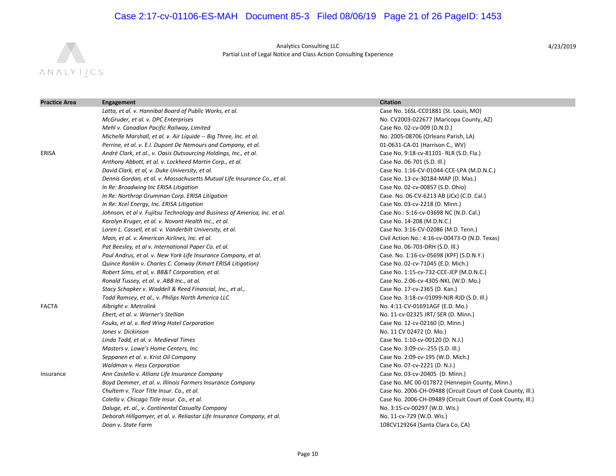## Case 2:17-cv-01106-ES-MAH Document 85-3 Filed 08/06/19 Page 21 of 26 PageID: 1453



Analytics Consulting LLC Partial List of Legal Notice and Class Action Consulting Experience

| <b>Practice Area</b> | Engagement                                                                | <b>Citation</b>                                             |
|----------------------|---------------------------------------------------------------------------|-------------------------------------------------------------|
|                      | Latta, et al. v. Hannibal Board of Public Works, et al.                   | Case No. 16SL-CC01881 (St. Louis, MO)                       |
|                      | McGruder, et al. v. DPC Enterprises                                       | No. CV2003-022677 (Maricopa County, AZ)                     |
|                      | Mehl v. Canadian Pacific Railway, Limited                                 | Case No. 02-cv-009 (D.N.D.)                                 |
|                      | Michelle Marshall, et al. v. Air Liquide -- Big Three, Inc. et al.        | No. 2005-08706 (Orleans Parish, LA)                         |
|                      | Perrine, et al. v. E.I. Dupont De Nemours and Company, et al.             | 01-0631-CA-01 (Harrison C., WV)                             |
| <b>ERISA</b>         | André Clark, et al., v. Oasis Outsourcing Holdings, Inc., et al.          | Case No. 9:18-cv-81101- RLR (S.D. Fla.)                     |
|                      | Anthony Abbott, et al. v. Lockheed Martin Corp., et al.                   | Case No. 06-701 (S.D. Ill.)                                 |
|                      | David Clark, et al, v. Duke University, et al.                            | Case No. 1:16-CV-01044-CCE-LPA (M.D.N.C.)                   |
|                      | Dennis Gordan, et al. v. Massachusetts Mutual Life Insurance Co., et al.  | Case No. 13-cv-30184-MAP (D. Mas.)                          |
|                      | In Re: Broadwing Inc ERISA Litigation                                     | Case No. 02-cv-00857 (S.D. Ohio)                            |
|                      | In Re: Northrop Grumman Corp. ERISA Litigation                            | Case. No. 06-CV-6213 AB (JCx) (C.D. Cal.)                   |
|                      | In Re: Xcel Energy, Inc. ERISA Litigation                                 | Case No. 03-cv-2218 (D. Minn.)                              |
|                      | Johnson, et al v. Fujitsu Technology and Business of America, Inc. et al. | Case No.: 5:16-cv-03698 NC (N.D. Cal.)                      |
|                      | Karolyn Kruger, et al. v. Novant Health Inc., et al.                      | Case No. 14-208 (M.D.N.C.)                                  |
|                      | Loren L. Cassell, et al. v. Vanderbilt University, et al.                 | Case No. 3:16-CV-02086 (M.D. Tenn.)                         |
|                      | Main, et al. v. American Airlines, Inc. et al.                            | Civil Action No.: 4:16-cv-00473-O (N.D. Texas)              |
|                      | Pat Beesley, et al v. International Paper Co. et al.                      | Case No. 06-703-DRH (S.D. III.)                             |
|                      | Paul Andrus, et al. v. New York Life Insurance Company, et al.            | Case. No. 1:16-cv-05698 (KPF) (S.D.N.Y.)                    |
|                      | Quince Rankin v. Charles C. Conway (Kmart ERISA Litigation)               | Case No. 02-cv-71045 (E.D. Mich.)                           |
|                      | Robert Sims, et al, v. BB&T Corporation, et al.                           | Case No. 1:15-cv-732-CCE-JEP (M.D.N.C.)                     |
|                      | Ronald Tussey, et al. v. ABB Inc., at al.                                 | Case No. 2:06-cv-4305-NKL (W.D. Mo.)                        |
|                      | Stacy Schapker v. Waddell & Reed Financial, Inc., et al.,                 | Case No. 17-cv-2365 (D. Kan.)                               |
|                      | Todd Ramsey, et al., v. Philips North America LLC                         | Case No. 3:18-cv-01099-NJR-RJD (S.D. III.)                  |
| <b>FACTA</b>         | Albright v. Metrolink                                                     | No. 4:11-CV-01691AGF (E.D. Mo.)                             |
|                      | Ebert, et al. v. Warner's Stellian                                        | No. 11-cv-02325 JRT/ SER (D. Minn.)                         |
|                      | Fouks, et al. v. Red Wing Hotel Corporation                               | Case No. 12-cv-02160 (D. Minn.)                             |
|                      | Jones v. Dickinson                                                        | No. 11 CV 02472 (D. Mo.)                                    |
|                      | Linda Todd, et al. v. Medieval Times                                      | Case No. 1:10-cv-00120 (D. N.J.)                            |
|                      | Masters v. Lowe's Home Centers, Inc.                                      | Case No. 3:09-cv--255 (S.D. III.)                           |
|                      | Seppanen et al. v. Krist Oil Company                                      | Case No. 2:09-cv-195 (W.D. Mich.)                           |
|                      | Waldman v. Hess Corporation                                               | Case No. 07-cv-2221 (D. N.J.)                               |
| Insurance            | Ann Castello v. Allianz Life Insurance Company                            | Case No. 03-cv-20405 (D. Minn.)                             |
|                      | Boyd Demmer, et al. v. Illinois Farmers Insurance Company                 | Case No. MC 00-017872 (Hennepin County, Minn.)              |
|                      | Chultem v. Ticor Title Insur. Co., et al.                                 | Case No. 2006-CH-09488 (Circuit Court of Cook County, Ill.) |
|                      | Colella v. Chicago Title Insur. Co., et al.                               | Case No. 2006-CH-09489 (Circuit Court of Cook County, Ill.) |
|                      | Daluge, et. al., v. Continental Casualty Company                          | No. 3:15-cv-00297 (W.D. Wis.)                               |
|                      | Deborah Hillgamyer, et al. v. Reliastar Life Insurance Company, et al.    | No. 11-cv-729 (W.D. Wis.)                                   |
|                      | Doan v. State Farm                                                        | 108CV129264 (Santa Clara Co, CA)                            |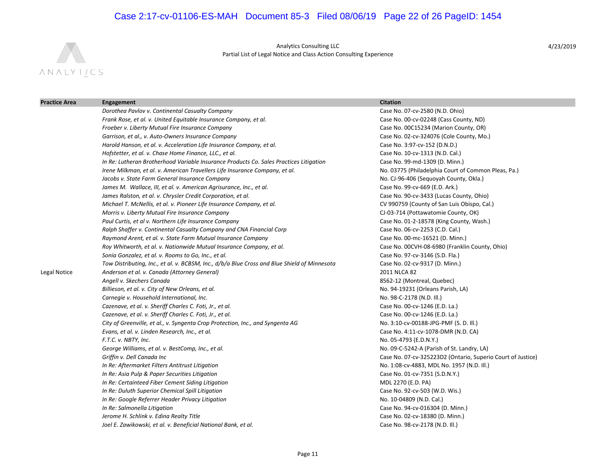## Case 2:17-cv-01106-ES-MAH Document 85-3 Filed 08/06/19 Page 22 of 26 PageID: 1454



Analytics Consulting LLC Partial List of Legal Notice and Class Action Consulting Experience

| <b>Practice Area</b> | Engagement                                                                                   | <b>Citation</b>                                             |
|----------------------|----------------------------------------------------------------------------------------------|-------------------------------------------------------------|
|                      | Dorothea Pavlov v. Continental Casualty Company                                              | Case No. 07-cv-2580 (N.D. Ohio)                             |
|                      | Frank Rose, et al. v. United Equitable Insurance Company, et al.                             | Case No. 00-cv-02248 (Cass County, ND)                      |
|                      | Froeber v. Liberty Mutual Fire Insurance Company                                             | Case No. 00C15234 (Marion County, OR)                       |
|                      | Garrison, et al., v. Auto-Owners Insurance Company                                           | Case No. 02-cv-324076 (Cole County, Mo.)                    |
|                      | Harold Hanson, et al. v. Acceleration Life Insurance Company, et al.                         | Case No. 3:97-cv-152 (D.N.D.)                               |
|                      | Hofstetter, et al. v. Chase Home Finance, LLC., et al.                                       | Case No. 10-cv-1313 (N.D. Cal.)                             |
|                      | In Re: Lutheran Brotherhood Variable Insurance Products Co. Sales Practices Litigation       | Case No. 99-md-1309 (D. Minn.)                              |
|                      | Irene Milkman, et al. v. American Travellers Life Insurance Company, et al.                  | No. 03775 (Philadelphia Court of Common Pleas, Pa.)         |
|                      | Jacobs v. State Farm General Insurance Company                                               | No. CJ-96-406 (Sequoyah County, Okla.)                      |
|                      | James M. Wallace, III, et al. v. American Agrisurance, Inc., et al.                          | Case No. 99-cv-669 (E.D. Ark.)                              |
|                      | James Ralston, et al. v. Chrysler Credit Corporation, et al.                                 | Case No. 90-cv-3433 (Lucas County, Ohio)                    |
|                      | Michael T. McNellis, et al. v. Pioneer Life Insurance Company, et al.                        | CV 990759 (County of San Luis Obispo, Cal.)                 |
|                      | Morris v. Liberty Mutual Fire Insurance Company                                              | CJ-03-714 (Pottawatomie County, OK)                         |
|                      | Paul Curtis, et al v. Northern Life Insurance Company                                        | Case No. 01-2-18578 (King County, Wash.)                    |
|                      | Ralph Shaffer v. Continental Casualty Company and CNA Financial Corp                         | Case No. 06-cv-2253 (C.D. Cal.)                             |
|                      | Raymond Arent, et al. v. State Farm Mutual Insurance Company                                 | Case No. 00-mc-16521 (D. Minn.)                             |
|                      | Roy Whitworth, et al. v. Nationwide Mutual Insurance Company, et al.                         | Case No. 00CVH-08-6980 (Franklin County, Ohio)              |
|                      | Sonia Gonzalez, et al. v. Rooms to Go, Inc., et al.                                          | Case No. 97-cv-3146 (S.D. Fla.)                             |
|                      | Tow Distributing, Inc., et al. v. BCBSM, Inc., d/b/a Blue Cross and Blue Shield of Minnesota | Case No. 02-cv-9317 (D. Minn.)                              |
| Legal Notice         | Anderson et al. v. Canada (Attorney General)                                                 | 2011 NLCA 82                                                |
|                      | Angell v. Skechers Canada                                                                    | 8562-12 (Montreal, Quebec)                                  |
|                      | Billieson, et al. v. City of New Orleans, et al.                                             | No. 94-19231 (Orleans Parish, LA)                           |
|                      | Carnegie v. Household International, Inc.                                                    | No. 98-C-2178 (N.D. III.)                                   |
|                      | Cazenave, et al. v. Sheriff Charles C. Foti, Jr., et al.                                     | Case No. 00-cv-1246 (E.D. La.)                              |
|                      | Cazenave, et al. v. Sheriff Charles C. Foti, Jr., et al.                                     | Case No. 00-cv-1246 (E.D. La.)                              |
|                      | City of Greenville, et al., v. Syngenta Crop Protection, Inc., and Syngenta AG               | No. 3:10-cv-00188-JPG-PMF (S. D. III.)                      |
|                      | Evans, et al. v. Linden Research, Inc., et al.                                               | Case No. 4:11-cv-1078-DMR (N.D. CA)                         |
|                      | F.T.C. v. NBTY, Inc.                                                                         | No. 05-4793 (E.D.N.Y.)                                      |
|                      | George Williams, et al. v. BestComp, Inc., et al.                                            | No. 09-C-5242-A (Parish of St. Landry, LA)                  |
|                      | Griffin v. Dell Canada Inc                                                                   | Case No. 07-cv-325223D2 (Ontario, Superio Court of Justice) |
|                      | In Re: Aftermarket Filters Antitrust Litigation                                              | No. 1:08-cv-4883, MDL No. 1957 (N.D. III.)                  |
|                      | In Re: Asia Pulp & Paper Securities Litigation                                               | Case No. 01-cv-7351 (S.D.N.Y.)                              |
|                      | In Re: Certainteed Fiber Cement Siding Litigation                                            | MDL 2270 (E.D. PA)                                          |
|                      | In Re: Duluth Superior Chemical Spill Litigation                                             | Case No. 92-cv-503 (W.D. Wis.)                              |
|                      | In Re: Google Referrer Header Privacy Litigation                                             | No. 10-04809 (N.D. Cal.)                                    |
|                      | In Re: Salmonella Litigation                                                                 | Case No. 94-cv-016304 (D. Minn.)                            |
|                      | Jerome H. Schlink v. Edina Realty Title                                                      | Case No. 02-cv-18380 (D. Minn.)                             |
|                      | Joel E. Zawikowski, et al. v. Beneficial National Bank, et al.                               | Case No. 98-cv-2178 (N.D. III.)                             |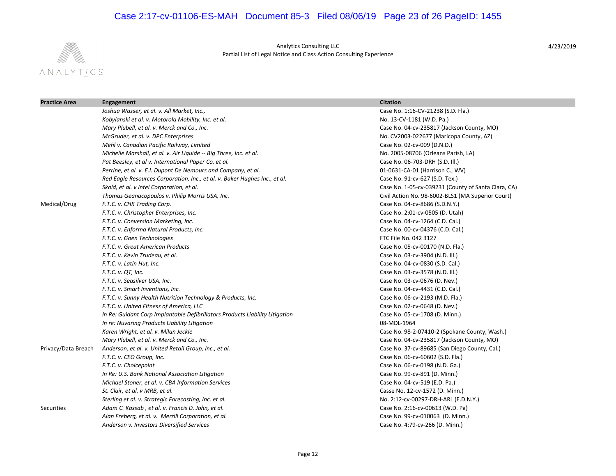## Case 2:17-cv-01106-ES-MAH Document 85-3 Filed 08/06/19 Page 23 of 26 PageID: 1455



Analytics Consulting LLC Partial List of Legal Notice and Class Action Consulting Experience

| <b>Practice Area</b> | Engagement                                                                   | <b>Citation</b>                                     |
|----------------------|------------------------------------------------------------------------------|-----------------------------------------------------|
|                      | Joshua Wasser, et al. v. All Market, Inc.,                                   | Case No. 1:16-CV-21238 (S.D. Fla.)                  |
|                      | Kobylanski et al. v. Motorola Mobility, Inc. et al.                          | No. 13-CV-1181 (W.D. Pa.)                           |
|                      | Mary Plubell, et al. v. Merck and Co., Inc.                                  | Case No. 04-cv-235817 (Jackson County, MO)          |
|                      | McGruder, et al. v. DPC Enterprises                                          | No. CV2003-022677 (Maricopa County, AZ)             |
|                      | Mehl v. Canadian Pacific Railway, Limited                                    | Case No. 02-cv-009 (D.N.D.)                         |
|                      | Michelle Marshall, et al. v. Air Liquide -- Big Three, Inc. et al.           | No. 2005-08706 (Orleans Parish, LA)                 |
|                      | Pat Beesley, et al v. International Paper Co. et al.                         | Case No. 06-703-DRH (S.D. III.)                     |
|                      | Perrine, et al. v. E.I. Dupont De Nemours and Company, et al.                | 01-0631-CA-01 (Harrison C., WV)                     |
|                      | Red Eagle Resources Corporation, Inc., et al. v. Baker Hughes Inc., et al.   | Case No. 91-cv-627 (S.D. Tex.)                      |
|                      | Skold, et al. v Intel Corporation, et al.                                    | Case No. 1-05-cv-039231 (County of Santa Clara, CA) |
|                      | Thomas Geanacopoulos v. Philip Morris USA, Inc.                              | Civil Action No. 98-6002-BLS1 (MA Superior Court)   |
| Medical/Drug         | F.T.C. v. CHK Trading Corp.                                                  | Case No. 04-cv-8686 (S.D.N.Y.)                      |
|                      | F.T.C. v. Christopher Enterprises, Inc.                                      | Case No. 2:01-cv-0505 (D. Utah)                     |
|                      | F.T.C. v. Conversion Marketing, Inc.                                         | Case No. 04-cv-1264 (C.D. Cal.)                     |
|                      | F.T.C. v. Enforma Natural Products, Inc.                                     | Case No. 00-cv-04376 (C.D. Cal.)                    |
|                      | F.T.C. v. Goen Technologies                                                  | FTC File No. 042 3127                               |
|                      | F.T.C. v. Great American Products                                            | Case No. 05-cv-00170 (N.D. Fla.)                    |
|                      | F.T.C. v. Kevin Trudeau, et al.                                              | Case No. 03-cv-3904 (N.D. Ill.)                     |
|                      | F.T.C. v. Latin Hut, Inc.                                                    | Case No. 04-cv-0830 (S.D. Cal.)                     |
|                      | F.T.C. v. QT, Inc.                                                           | Case No. 03-cv-3578 (N.D. III.)                     |
|                      | F.T.C. v. Seasilver USA, Inc.                                                | Case No. 03-cv-0676 (D. Nev.)                       |
|                      | F.T.C. v. Smart Inventions, Inc.                                             | Case No. 04-cv-4431 (C.D. Cal.)                     |
|                      | F.T.C. v. Sunny Health Nutrition Technology & Products, Inc.                 | Case No. 06-cv-2193 (M.D. Fla.)                     |
|                      | F.T.C. v. United Fitness of America, LLC                                     | Case No. 02-cv-0648 (D. Nev.)                       |
|                      | In Re: Guidant Corp Implantable Defibrillators Products Liability Litigation | Case No. 05-cv-1708 (D. Minn.)                      |
|                      | In re: Nuvaring Products Liability Litigation                                | 08-MDL-1964                                         |
|                      | Karen Wright, et al. v. Milan Jeckle                                         | Case No. 98-2-07410-2 (Spokane County, Wash.)       |
|                      | Mary Plubell, et al. v. Merck and Co., Inc.                                  | Case No. 04-cv-235817 (Jackson County, MO)          |
| Privacy/Data Breach  | Anderson, et al. v. United Retail Group, Inc., et al.                        | Case No. 37-cv-89685 (San Diego County, Cal.)       |
|                      | F.T.C. v. CEO Group, Inc.                                                    | Case No. 06-cv-60602 (S.D. Fla.)                    |
|                      | F.T.C. v. Choicepoint                                                        | Case No. 06-cv-0198 (N.D. Ga.)                      |
|                      | In Re: U.S. Bank National Association Litigation                             | Case No. 99-cv-891 (D. Minn.)                       |
|                      | Michael Stoner, et al. v. CBA Information Services                           | Case No. 04-cv-519 (E.D. Pa.)                       |
|                      | St. Clair, et al. v MRB, et al.                                              | Casse No. 12-cv-1572 (D. Minn.)                     |
|                      | Sterling et al. v. Strategic Forecasting, Inc. et al.                        | No. 2:12-cv-00297-DRH-ARL (E.D.N.Y.)                |
| Securities           | Adam C. Kassab, et al. v. Francis D. John, et al.                            | Case No. 2:16-cv-00613 (W.D. Pa)                    |
|                      | Alan Freberg, et al. v. Merrill Corporation, et al.                          | Case No. 99-cv-010063 (D. Minn.)                    |
|                      | Anderson v. Investors Diversified Services                                   | Case No. 4:79-cv-266 (D. Minn.)                     |
|                      |                                                                              |                                                     |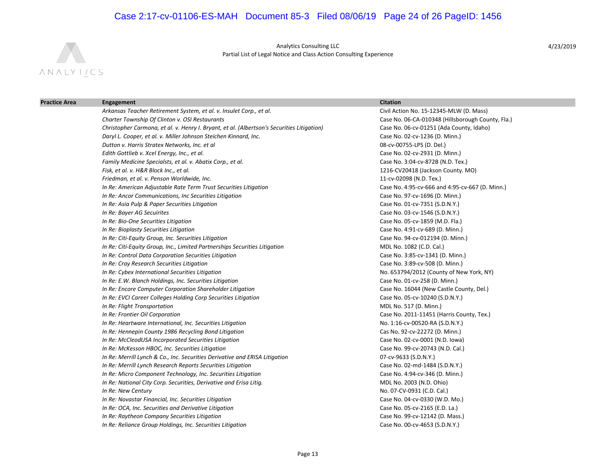# Case 2:17-cv-01106-ES-MAH Document 85-3 Filed 08/06/19 Page 24 of 26 PageID: 1456



Analytics Consulting LLC Partial List of Legal Notice and Class Action Consulting Experience

| <b>Practice Area</b> | Engagement                                                                                 | <b>Citation</b>                                   |
|----------------------|--------------------------------------------------------------------------------------------|---------------------------------------------------|
|                      | Arkansas Teacher Retirement System, et al. v. Insulet Corp., et al.                        | Civil Action No. 15-12345-MLW (D. Mass)           |
|                      | Charter Township Of Clinton v. OSI Restaurants                                             | Case No. 06-CA-010348 (Hillsborough County, Fla.) |
|                      | Christopher Carmona, et al. v. Henry I. Bryant, et al. (Albertson's Securities Litigation) | Case No. 06-cv-01251 (Ada County, Idaho)          |
|                      | Daryl L. Cooper, et al. v. Miller Johnson Steichen Kinnard, Inc.                           | Case No. 02-cv-1236 (D. Minn.)                    |
|                      | Dutton v. Harris Stratex Networks, Inc. et al                                              | 08-cv-00755-LPS (D. Del.)                         |
|                      | Edith Gottlieb v. Xcel Energy, Inc., et al.                                                | Case No. 02-cv-2931 (D. Minn.)                    |
|                      | Family Medicine Specialsts, et al. v. Abatix Corp., et al.                                 | Case No. 3:04-cv-872B (N.D. Tex.)                 |
|                      | Fisk, et al. v. H&R Block Inc., et al.                                                     | 1216-CV20418 (Jackson County. MO)                 |
|                      | Friedman, et al. v. Penson Worldwide, Inc.                                                 | 11-cv-02098 (N.D. Tex.)                           |
|                      | In Re: American Adjustable Rate Term Trust Securities Litigation                           | Case No. 4:95-cv-666 and 4:95-cv-667 (D. Minn.)   |
|                      | In Re: Ancor Communications, Inc Securities Litigation                                     | Case No. 97-cv-1696 (D. Minn.)                    |
|                      | In Re: Asia Pulp & Paper Securities Litigation                                             | Case No. 01-cv-7351 (S.D.N.Y.)                    |
|                      | In Re: Bayer AG Secuirites                                                                 | Case No. 03-cv-1546 (S.D.N.Y.)                    |
|                      | In Re: Bio-One Securities Litigation                                                       | Case No. 05-cv-1859 (M.D. Fla.)                   |
|                      | In Re: Bioplasty Securities Litigation                                                     | Case No. 4:91-cv-689 (D. Minn.)                   |
|                      | In Re: Citi-Equity Group, Inc. Securities Litigation                                       | Case No. 94-cv-012194 (D. Minn.)                  |
|                      | In Re: Citi-Equity Group, Inc., Limited Partnerships Securities Litigation                 | MDL No. 1082 (C.D. Cal.)                          |
|                      | In Re: Control Data Corporation Securities Litigation                                      | Case No. 3:85-cv-1341 (D. Minn.)                  |
|                      | In Re: Cray Research Securities Litigation                                                 | Case No. 3:89-cv-508 (D. Minn.)                   |
|                      | In Re: Cybex International Securities Litigation                                           | No. 653794/2012 (County of New York, NY)          |
|                      | In Re: E.W. Blanch Holdings, Inc. Securities Litigation                                    | Case No. 01-cv-258 (D. Minn.)                     |
|                      | In Re: Encore Computer Corporation Shareholder Litigation                                  | Case No. 16044 (New Castle County, Del.)          |
|                      | In Re: EVCI Career Colleges Holding Corp Securities Litigation                             | Case No. 05-cv-10240 (S.D.N.Y.)                   |
|                      | In Re: Flight Transportation                                                               | MDL No. 517 (D. Minn.)                            |
|                      | In Re: Frontier Oil Corporation                                                            | Case No. 2011-11451 (Harris County, Tex.)         |
|                      | In Re: Heartware International, Inc. Securities Litigation                                 | No. 1:16-cv-00520-RA (S.D.N.Y.)                   |
|                      | In Re: Hennepin County 1986 Recycling Bond Litigation                                      | Cas No. 92-cv-22272 (D. Minn.)                    |
|                      | In Re: McCleodUSA Incorporated Securities Litigation                                       | Case No. 02-cv-0001 (N.D. Iowa)                   |
|                      | In Re: McKesson HBOC, Inc. Securities Litigation                                           | Case No. 99-cv-20743 (N.D. Cal.)                  |
|                      | In Re: Merrill Lynch & Co., Inc. Securities Derivative and ERISA Litigation                | 07-cv-9633 (S.D.N.Y.)                             |
|                      | In Re: Merrill Lynch Research Reports Securities Litigation                                | Case No. 02-md-1484 (S.D.N.Y.)                    |
|                      | In Re: Micro Component Technology, Inc. Securities Litigation                              | Case No. 4:94-cv-346 (D. Minn.)                   |
|                      | In Re: National City Corp. Securities, Derivative and Erisa Litig.                         | MDL No. 2003 (N.D. Ohio)                          |
|                      | In Re: New Century                                                                         | No. 07-CV-0931 (C.D. Cal.)                        |
|                      | In Re: Novastar Financial, Inc. Securities Litigation                                      | Case No. 04-cv-0330 (W.D. Mo.)                    |
|                      | In Re: OCA, Inc. Securities and Derivative Litigation                                      | Case No. 05-cv-2165 (E.D. La.)                    |
|                      | In Re: Raytheon Company Securities Litigation                                              | Case No. 99-cv-12142 (D. Mass.)                   |
|                      | In Re: Reliance Group Holdings, Inc. Securities Litigation                                 | Case No. 00-cv-4653 (S.D.N.Y.)                    |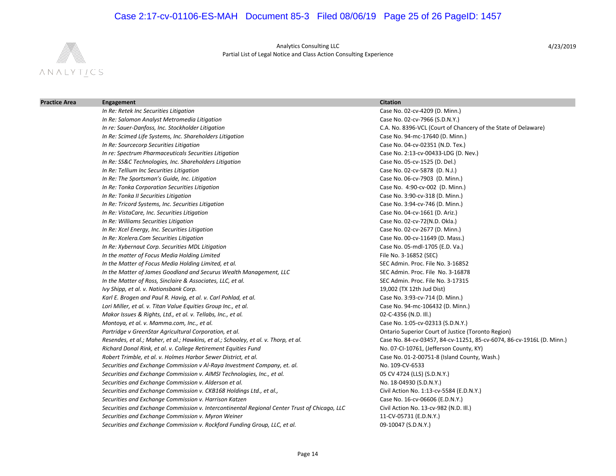# Case 2:17-cv-01106-ES-MAH Document 85-3 Filed 08/06/19 Page 25 of 26 PageID: 1457



Analytics Consulting LLC Partial List of Legal Notice and Class Action Consulting Experience

| <b>Practice Area</b> | Engagement                                                                                   | <b>Citation</b>                                                       |
|----------------------|----------------------------------------------------------------------------------------------|-----------------------------------------------------------------------|
|                      | In Re: Retek Inc Securities Litigation                                                       | Case No. 02-cv-4209 (D. Minn.)                                        |
|                      | In Re: Salomon Analyst Metromedia Litigation                                                 | Case No. 02-cv-7966 (S.D.N.Y.)                                        |
|                      | In re: Sauer-Danfoss, Inc. Stockholder Litigation                                            | C.A. No. 8396-VCL (Court of Chancery of the State of Delaware)        |
|                      | In Re: Scimed Life Systems, Inc. Shareholders Litigation                                     | Case No. 94-mc-17640 (D. Minn.)                                       |
|                      | In Re: Sourcecorp Securities Litigation                                                      | Case No. 04-cv-02351 (N.D. Tex.)                                      |
|                      | In re: Spectrum Pharmaceuticals Securities Litigation                                        | Case No. 2:13-cv-00433-LDG (D. Nev.)                                  |
|                      | In Re: SS&C Technologies, Inc. Shareholders Litigation                                       | Case No. 05-cv-1525 (D. Del.)                                         |
|                      | In Re: Tellium Inc Securities Litigation                                                     | Case No. 02-cv-5878 (D. N.J.)                                         |
|                      | In Re: The Sportsman's Guide, Inc. Litigation                                                | Case No. 06-cv-7903 (D. Minn.)                                        |
|                      | In Re: Tonka Corporation Securities Litigation                                               | Case No. 4:90-cv-002 (D. Minn.)                                       |
|                      | In Re: Tonka II Securities Litigation                                                        | Case No. 3:90-cv-318 (D. Minn.)                                       |
|                      | In Re: Tricord Systems, Inc. Securities Litigation                                           | Case No. 3:94-cv-746 (D. Minn.)                                       |
|                      | In Re: VistaCare, Inc. Securities Litigation                                                 | Case No. 04-cv-1661 (D. Ariz.)                                        |
|                      | In Re: Williams Securities Litigation                                                        | Case No. 02-cv-72(N.D. Okla.)                                         |
|                      | In Re: Xcel Energy, Inc. Securities Litigation                                               | Case No. 02-cv-2677 (D. Minn.)                                        |
|                      | In Re: Xcelera.Com Securities Litigation                                                     | Case No. 00-cv-11649 (D. Mass.)                                       |
|                      | In Re: Xybernaut Corp. Securities MDL Litigation                                             | Case No. 05-mdl-1705 (E.D. Va.)                                       |
|                      | In the matter of Focus Media Holding Limited                                                 | File No. 3-16852 (SEC)                                                |
|                      | In the Matter of Focus Media Holding Limited, et al.                                         | SEC Admin. Proc. File No. 3-16852                                     |
|                      | In the Matter of James Goodland and Securus Wealth Management, LLC                           | SEC Admin. Proc. File No. 3-16878                                     |
|                      | In the Matter of Ross, Sinclaire & Associates, LLC, et al.                                   | SEC Admin. Proc. File No. 3-17315                                     |
|                      | Ivy Shipp, et al. v. Nationsbank Corp.                                                       | 19,002 (TX 12th Jud Dist)                                             |
|                      | Karl E. Brogen and Paul R. Havig, et al. v. Carl Pohlad, et al.                              | Case No. 3:93-cv-714 (D. Minn.)                                       |
|                      | Lori Miller, et al. v. Titan Value Equities Group Inc., et al.                               | Case No. 94-mc-106432 (D. Minn.)                                      |
|                      | Makor Issues & Rights, Ltd., et al. v. Tellabs, Inc., et al.                                 | 02-C-4356 (N.D. III.)                                                 |
|                      | Montoya, et al. v. Mamma.com, Inc., et al.                                                   | Case No. 1:05-cv-02313 (S.D.N.Y.)                                     |
|                      | Partridge v GreenStar Agricultural Corporation, et al.                                       | Ontario Superior Court of Justice (Toronto Region)                    |
|                      | Resendes, et al.; Maher, et al.; Hawkins, et al.; Schooley, et al. v. Thorp, et al.          | Case No. 84-cv-03457, 84-cv-11251, 85-cv-6074, 86-cv-1916L (D. Minn.) |
|                      | Richard Donal Rink, et al. v. College Retirement Equities Fund                               | No. 07-CI-10761, (Jefferson County, KY)                               |
|                      | Robert Trimble, et al. v. Holmes Harbor Sewer District, et al.                               | Case No. 01-2-00751-8 (Island County, Wash.)                          |
|                      | Securities and Exchange Commission v Al-Raya Investment Company, et. al.                     | No. 109-CV-6533                                                       |
|                      | Securities and Exchange Commission v. AIMSI Technologies, Inc., et al.                       | 05 CV 4724 (LLS) (S.D.N.Y.)                                           |
|                      | Securities and Exchange Commission v. Alderson et al.                                        | No. 18-04930 (S.D.N.Y.)                                               |
|                      | Securities and Exchange Commission v. CKB168 Holdings Ltd., et al.,                          | Civil Action No. 1:13-cv-5584 (E.D.N.Y.)                              |
|                      | Securities and Exchange Commission v. Harrison Katzen                                        | Case No. 16-cv-06606 (E.D.N.Y.)                                       |
|                      | Securities and Exchange Commission v. Intercontinental Regional Center Trust of Chicago, LLC | Civil Action No. 13-cv-982 (N.D. Ill.)                                |
|                      | Securities and Exchange Commission v. Myron Weiner                                           | 11-CV-05731 (E.D.N.Y.)                                                |
|                      | Securities and Exchange Commission v. Rockford Funding Group, LLC, et al.                    | 09-10047 (S.D.N.Y.)                                                   |
|                      |                                                                                              |                                                                       |